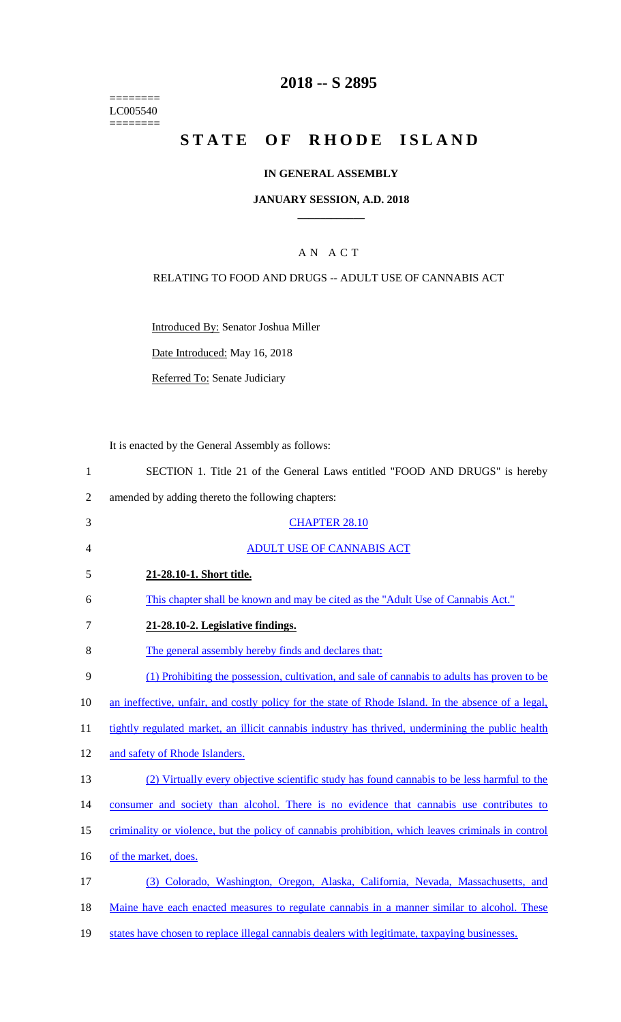======== LC005540 ========

## **2018 -- S 2895**

## **STATE OF RHODE ISLAND**

### **IN GENERAL ASSEMBLY**

### **JANUARY SESSION, A.D. 2018 \_\_\_\_\_\_\_\_\_\_\_\_**

## A N A C T

### RELATING TO FOOD AND DRUGS -- ADULT USE OF CANNABIS ACT

Introduced By: Senator Joshua Miller

Date Introduced: May 16, 2018

Referred To: Senate Judiciary

It is enacted by the General Assembly as follows:

| SECTION 1. Title 21 of the General Laws entitled "FOOD AND DRUGS" is hereby |  |
|-----------------------------------------------------------------------------|--|
|-----------------------------------------------------------------------------|--|

- 2 amended by adding thereto the following chapters:
- 3 CHAPTER 28.10 4 ADULT USE OF CANNABIS ACT
- 5 **21-28.10-1. Short title.**
- 6 This chapter shall be known and may be cited as the "Adult Use of Cannabis Act."
- 7 **21-28.10-2. Legislative findings.**
- 8 The general assembly hereby finds and declares that:
- 9 (1) Prohibiting the possession, cultivation, and sale of cannabis to adults has proven to be
- 10 an ineffective, unfair, and costly policy for the state of Rhode Island. In the absence of a legal,
- 11 tightly regulated market, an illicit cannabis industry has thrived, undermining the public health
- 12 and safety of Rhode Islanders.
- 13 (2) Virtually every objective scientific study has found cannabis to be less harmful to the
- 14 consumer and society than alcohol. There is no evidence that cannabis use contributes to
- 15 criminality or violence, but the policy of cannabis prohibition, which leaves criminals in control
- 16 of the market, does.
- 17 (3) Colorado, Washington, Oregon, Alaska, California, Nevada, Massachusetts, and
- 18 Maine have each enacted measures to regulate cannabis in a manner similar to alcohol. These
- 19 states have chosen to replace illegal cannabis dealers with legitimate, taxpaying businesses.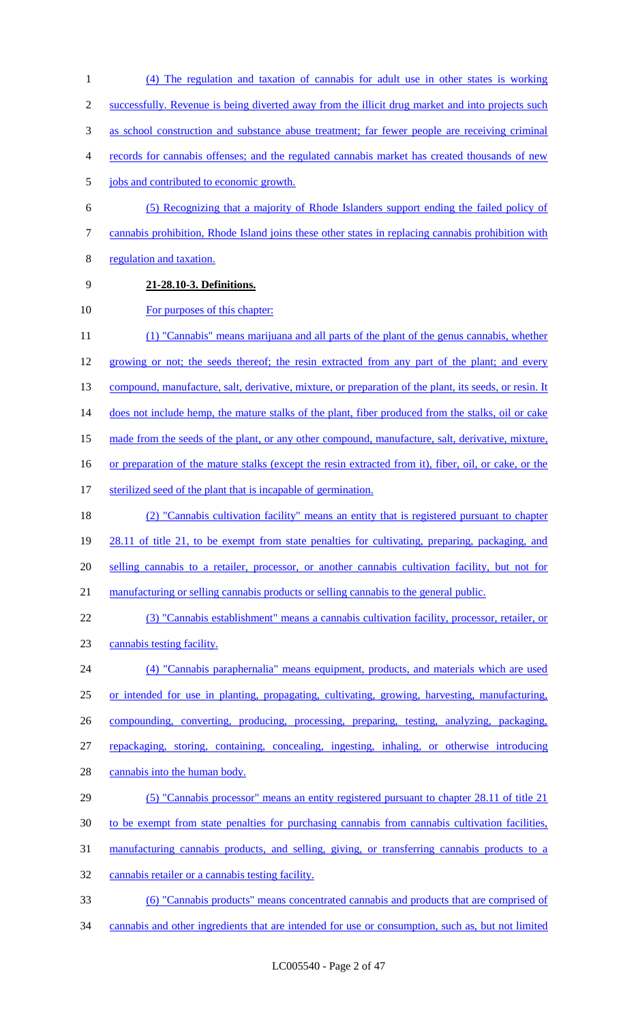- (4) The regulation and taxation of cannabis for adult use in other states is working successfully. Revenue is being diverted away from the illicit drug market and into projects such as school construction and substance abuse treatment; far fewer people are receiving criminal records for cannabis offenses; and the regulated cannabis market has created thousands of new 5 jobs and contributed to economic growth. (5) Recognizing that a majority of Rhode Islanders support ending the failed policy of cannabis prohibition, Rhode Island joins these other states in replacing cannabis prohibition with regulation and taxation. **21-28.10-3. Definitions.** 10 For purposes of this chapter: (1) "Cannabis" means marijuana and all parts of the plant of the genus cannabis, whether 12 growing or not; the seeds thereof; the resin extracted from any part of the plant; and every 13 compound, manufacture, salt, derivative, mixture, or preparation of the plant, its seeds, or resin. It 14 does not include hemp, the mature stalks of the plant, fiber produced from the stalks, oil or cake 15 made from the seeds of the plant, or any other compound, manufacture, salt, derivative, mixture, or preparation of the mature stalks (except the resin extracted from it), fiber, oil, or cake, or the 17 sterilized seed of the plant that is incapable of germination. (2) "Cannabis cultivation facility" means an entity that is registered pursuant to chapter 19 28.11 of title 21, to be exempt from state penalties for cultivating, preparing, packaging, and selling cannabis to a retailer, processor, or another cannabis cultivation facility, but not for manufacturing or selling cannabis products or selling cannabis to the general public. (3) "Cannabis establishment" means a cannabis cultivation facility, processor, retailer, or cannabis testing facility. (4) "Cannabis paraphernalia" means equipment, products, and materials which are used or intended for use in planting, propagating, cultivating, growing, harvesting, manufacturing,
- compounding, converting, producing, processing, preparing, testing, analyzing, packaging,
- repackaging, storing, containing, concealing, ingesting, inhaling, or otherwise introducing
- 28 cannabis into the human body.
- (5) "Cannabis processor" means an entity registered pursuant to chapter 28.11 of title 21
- to be exempt from state penalties for purchasing cannabis from cannabis cultivation facilities,
- manufacturing cannabis products, and selling, giving, or transferring cannabis products to a
- cannabis retailer or a cannabis testing facility.
- (6) "Cannabis products" means concentrated cannabis and products that are comprised of cannabis and other ingredients that are intended for use or consumption, such as, but not limited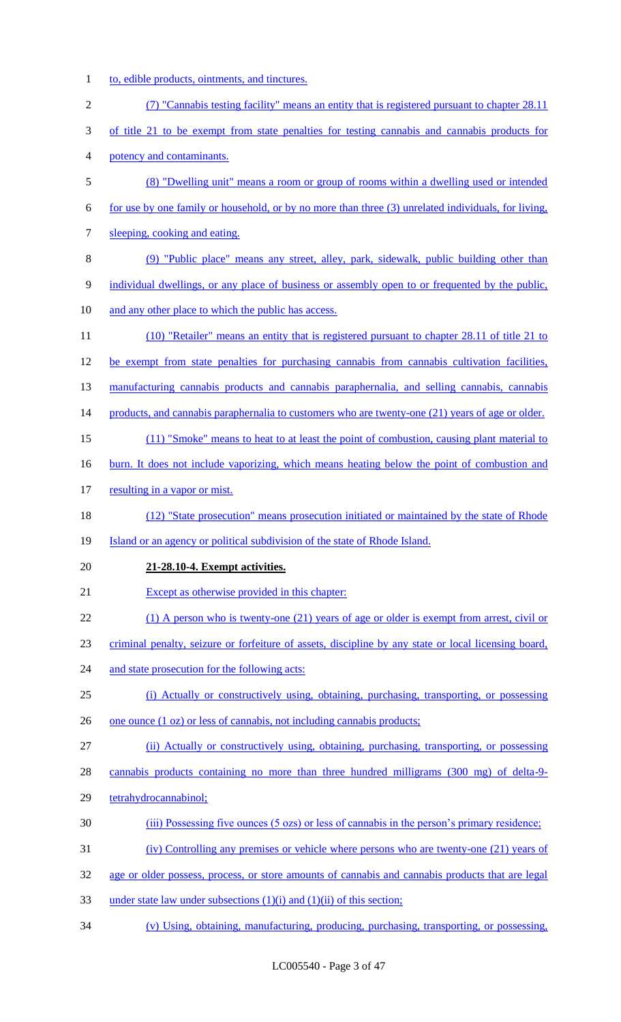1 to, edible products, ointments, and tinctures.

| $\mathbf{2}$   | (7) "Cannabis testing facility" means an entity that is registered pursuant to chapter 28.11         |
|----------------|------------------------------------------------------------------------------------------------------|
| 3              | of title 21 to be exempt from state penalties for testing cannabis and cannabis products for         |
| $\overline{4}$ | potency and contaminants.                                                                            |
| 5              | (8) "Dwelling unit" means a room or group of rooms within a dwelling used or intended                |
| 6              | for use by one family or household, or by no more than three (3) unrelated individuals, for living,  |
| 7              | sleeping, cooking and eating.                                                                        |
| $8\,$          | (9) "Public place" means any street, alley, park, sidewalk, public building other than               |
| $\overline{9}$ | individual dwellings, or any place of business or assembly open to or frequented by the public,      |
| 10             | and any other place to which the public has access.                                                  |
| 11             | (10) "Retailer" means an entity that is registered pursuant to chapter 28.11 of title 21 to          |
| 12             | be exempt from state penalties for purchasing cannabis from cannabis cultivation facilities,         |
| 13             | manufacturing cannabis products and cannabis paraphernalia, and selling cannabis, cannabis           |
| 14             | products, and cannabis paraphernalia to customers who are twenty-one (21) years of age or older.     |
| 15             | (11) "Smoke" means to heat to at least the point of combustion, causing plant material to            |
| 16             | <u>burn. It does not include vaporizing, which means heating below the point of combustion and</u>   |
| 17             | resulting in a vapor or mist.                                                                        |
| 18             | (12) "State prosecution" means prosecution initiated or maintained by the state of Rhode             |
| 19             | Island or an agency or political subdivision of the state of Rhode Island.                           |
| 20             | 21-28.10-4. Exempt activities.                                                                       |
| 21             | Except as otherwise provided in this chapter:                                                        |
| 22             | $(1)$ A person who is twenty-one $(21)$ years of age or older is exempt from arrest, civil or        |
| 23             | criminal penalty, seizure or forfeiture of assets, discipline by any state or local licensing board, |
| 24             | and state prosecution for the following acts:                                                        |
| 25             | (i) Actually or constructively using, obtaining, purchasing, transporting, or possessing             |
| 26             | one ounce (1 oz) or less of cannabis, not including cannabis products;                               |
| 27             | (ii) Actually or constructively using, obtaining, purchasing, transporting, or possessing            |
| 28             | cannabis products containing no more than three hundred milligrams (300 mg) of delta-9-              |
| 29             | tetrahydrocannabinol;                                                                                |
| 30             | (iii) Possessing five ounces (5 ozs) or less of cannabis in the person's primary residence;          |
| 31             | (iv) Controlling any premises or vehicle where persons who are twenty-one (21) years of              |
| 32             | age or older possess, process, or store amounts of cannabis and cannabis products that are legal     |
| 33             | under state law under subsections $(1)(i)$ and $(1)(ii)$ of this section;                            |
| 34             | (v) Using, obtaining, manufacturing, producing, purchasing, transporting, or possessing,             |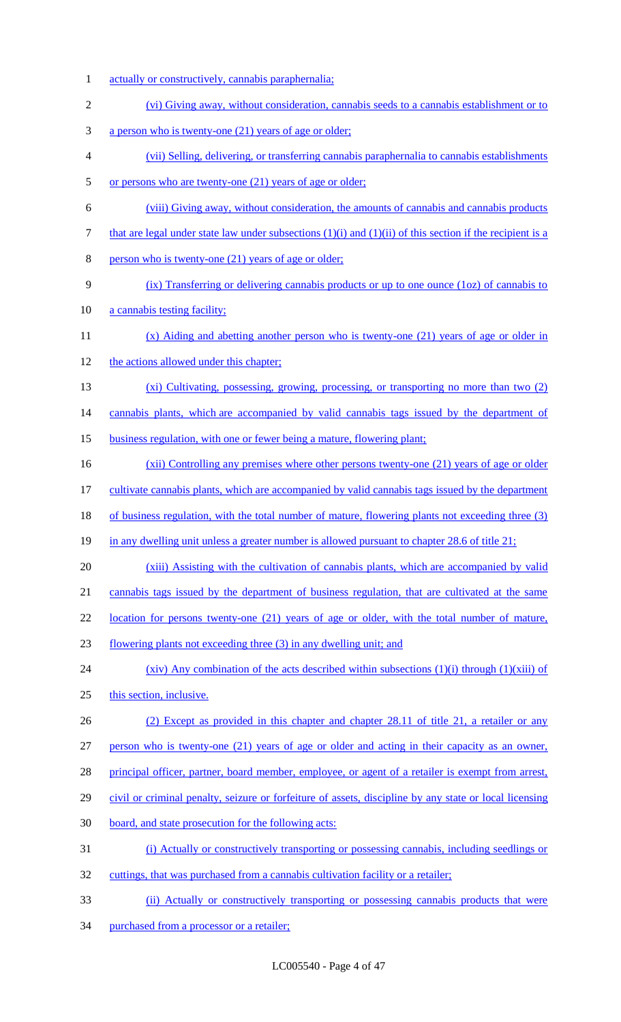- 1 actually or constructively, cannabis paraphernalia; (vi) Giving away, without consideration, cannabis seeds to a cannabis establishment or to a person who is twenty-one (21) years of age or older; (vii) Selling, delivering, or transferring cannabis paraphernalia to cannabis establishments 5 or persons who are twenty-one (21) years of age or older; (viii) Giving away, without consideration, the amounts of cannabis and cannabis products 7 that are legal under state law under subsections  $(1)(i)$  and  $(1)(ii)$  of this section if the recipient is a person who is twenty-one (21) years of age or older; (ix) Transferring or delivering cannabis products or up to one ounce (1oz) of cannabis to 10 a cannabis testing facility; 11 (x) Aiding and abetting another person who is twenty-one (21) years of age or older in 12 the actions allowed under this chapter; (xi) Cultivating, possessing, growing, processing, or transporting no more than two (2) 14 cannabis plants, which are accompanied by valid cannabis tags issued by the department of business regulation, with one or fewer being a mature, flowering plant; 16 (xii) Controlling any premises where other persons twenty-one (21) years of age or older 17 cultivate cannabis plants, which are accompanied by valid cannabis tags issued by the department of business regulation, with the total number of mature, flowering plants not exceeding three (3) in any dwelling unit unless a greater number is allowed pursuant to chapter 28.6 of title 21;
- (xiii) Assisting with the cultivation of cannabis plants, which are accompanied by valid cannabis tags issued by the department of business regulation, that are cultivated at the same

22 location for persons twenty-one (21) years of age or older, with the total number of mature,

- flowering plants not exceeding three (3) in any dwelling unit; and
- 24 (xiv) Any combination of the acts described within subsections (1)(i) through (1)(xiii) of
- this section, inclusive.
- (2) Except as provided in this chapter and chapter 28.11 of title 21, a retailer or any
- person who is twenty-one (21) years of age or older and acting in their capacity as an owner,
- 28 principal officer, partner, board member, employee, or agent of a retailer is exempt from arrest,
- civil or criminal penalty, seizure or forfeiture of assets, discipline by any state or local licensing
- board, and state prosecution for the following acts:
- (i) Actually or constructively transporting or possessing cannabis, including seedlings or
- cuttings, that was purchased from a cannabis cultivation facility or a retailer;
- (ii) Actually or constructively transporting or possessing cannabis products that were
- purchased from a processor or a retailer;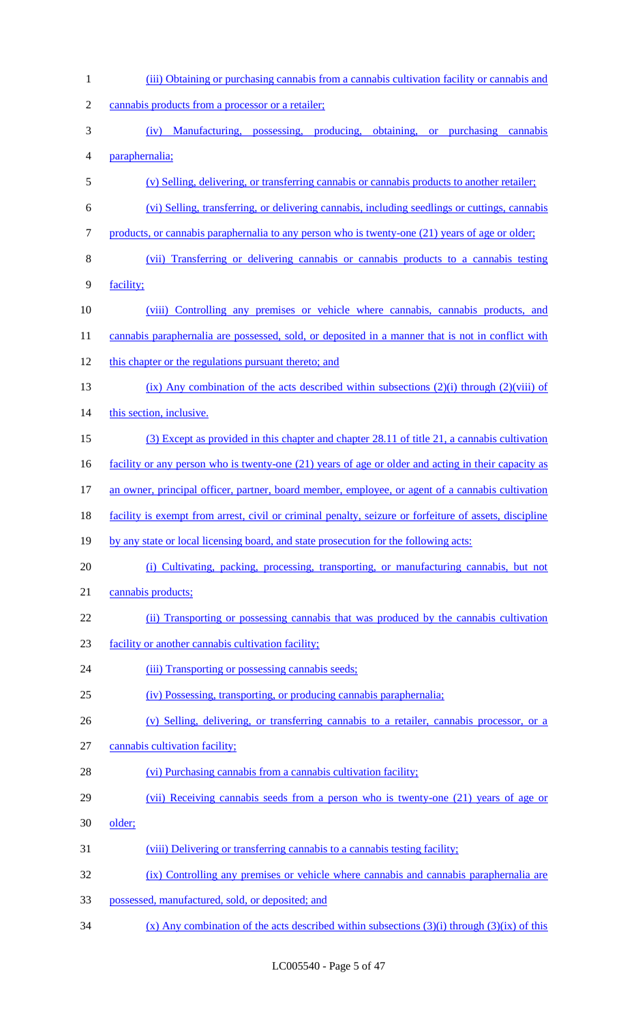| $\mathbf{1}$   | (iii) Obtaining or purchasing cannabis from a cannabis cultivation facility or cannabis and            |
|----------------|--------------------------------------------------------------------------------------------------------|
| $\overline{2}$ | cannabis products from a processor or a retailer;                                                      |
| 3              | (iv) Manufacturing, possessing, producing, obtaining, or purchasing cannabis                           |
| $\overline{4}$ | paraphernalia;                                                                                         |
| 5              | (v) Selling, delivering, or transferring cannabis or cannabis products to another retailer;            |
| 6              | (vi) Selling, transferring, or delivering cannabis, including seedlings or cuttings, cannabis          |
| 7              | products, or cannabis paraphernalia to any person who is twenty-one (21) years of age or older;        |
| $8\,$          | (vii) Transferring or delivering cannabis or cannabis products to a cannabis testing                   |
| $\mathbf{9}$   | facility;                                                                                              |
| 10             | (viii) Controlling any premises or vehicle where cannabis, cannabis products, and                      |
| 11             | cannabis paraphernalia are possessed, sold, or deposited in a manner that is not in conflict with      |
| 12             | this chapter or the regulations pursuant thereto; and                                                  |
| 13             | $(ix)$ Any combination of the acts described within subsections (2)(i) through (2)(viii) of            |
| 14             | this section, inclusive.                                                                               |
| 15             | (3) Except as provided in this chapter and chapter 28.11 of title 21, a cannabis cultivation           |
| 16             | facility or any person who is twenty-one (21) years of age or older and acting in their capacity as    |
| 17             | an owner, principal officer, partner, board member, employee, or agent of a cannabis cultivation       |
| 18             | facility is exempt from arrest, civil or criminal penalty, seizure or forfeiture of assets, discipline |
| 19             | by any state or local licensing board, and state prosecution for the following acts:                   |
| 20             | (i) Cultivating, packing, processing, transporting, or manufacturing cannabis, but not                 |
| 21             | cannabis products;                                                                                     |
| 22             | (ii) Transporting or possessing cannabis that was produced by the cannabis cultivation                 |
| 23             | facility or another cannabis cultivation facility;                                                     |
| 24             | (iii) Transporting or possessing cannabis seeds;                                                       |
| 25             | (iv) Possessing, transporting, or producing cannabis paraphernalia;                                    |
| 26             | (v) Selling, delivering, or transferring cannabis to a retailer, cannabis processor, or a              |
| 27             | cannabis cultivation facility;                                                                         |
| 28             | (vi) Purchasing cannabis from a cannabis cultivation facility;                                         |
| 29             | (vii) Receiving cannabis seeds from a person who is twenty-one (21) years of age or                    |
| 30             | older;                                                                                                 |
| 31             | (viii) Delivering or transferring cannabis to a cannabis testing facility;                             |
| 32             | (ix) Controlling any premises or vehicle where cannabis and cannabis paraphernalia are                 |
| 33             | possessed, manufactured, sold, or deposited; and                                                       |
| 34             | $(x)$ Any combination of the acts described within subsections (3)(i) through (3)(ix) of this          |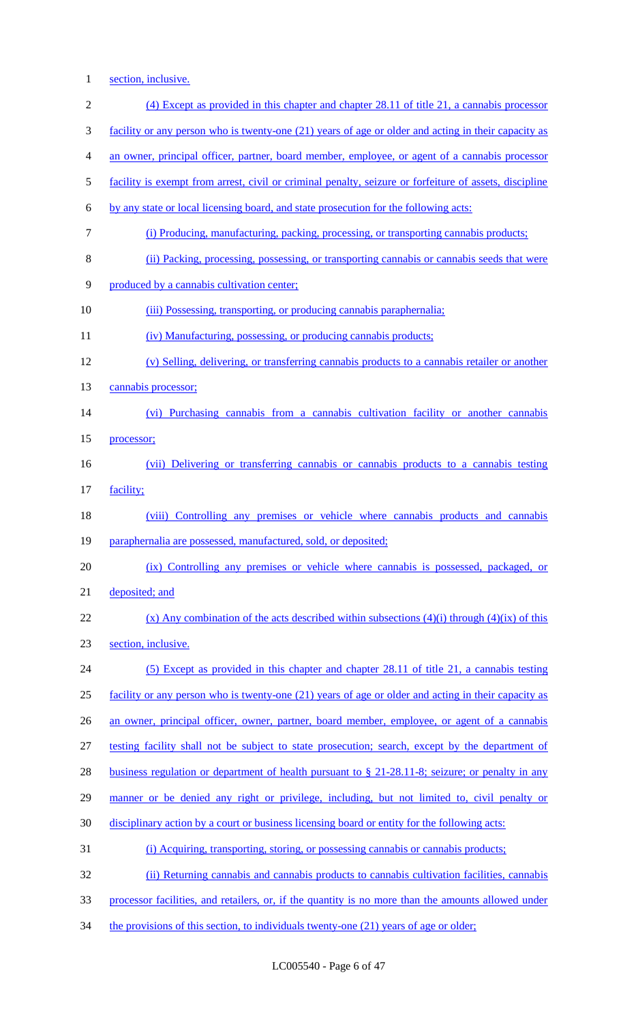1 section, inclusive.

| $\overline{2}$ | (4) Except as provided in this chapter and chapter 28.11 of title 21, a cannabis processor                            |
|----------------|-----------------------------------------------------------------------------------------------------------------------|
| 3              | facility or any person who is twenty-one (21) years of age or older and acting in their capacity as                   |
|                |                                                                                                                       |
| 4              | an owner, principal officer, partner, board member, employee, or agent of a cannabis processor                        |
| 5              | facility is exempt from arrest, civil or criminal penalty, seizure or forfeiture of assets, discipline                |
| 6              | by any state or local licensing board, and state prosecution for the following acts:                                  |
| 7              | (i) Producing, manufacturing, packing, processing, or transporting cannabis products;                                 |
| 8              | (ii) Packing, processing, possessing, or transporting cannabis or cannabis seeds that were                            |
| 9              | produced by a cannabis cultivation center;                                                                            |
| 10             | (iii) Possessing, transporting, or producing cannabis paraphernalia;                                                  |
| 11             | (iv) Manufacturing, possessing, or producing cannabis products;                                                       |
| 12             | (v) Selling, delivering, or transferring cannabis products to a cannabis retailer or another                          |
| 13             | cannabis processor;                                                                                                   |
| 14             | (vi) Purchasing cannabis from a cannabis cultivation facility or another cannabis                                     |
| 15             | processor;                                                                                                            |
| 16             | (vii) Delivering or transferring cannabis or cannabis products to a cannabis testing                                  |
| 17             | facility;                                                                                                             |
| 18             | (viii) Controlling any premises or vehicle where cannabis products and cannabis                                       |
| 19             | paraphernalia are possessed, manufactured, sold, or deposited;                                                        |
| 20             | (ix) Controlling any premises or vehicle where cannabis is possessed, packaged, or                                    |
| 21             | deposited; and                                                                                                        |
| 22             | $(x)$ Any combination of the acts described within subsections (4)(i) through (4)(ix) of this                         |
| 23             | section, inclusive.                                                                                                   |
| 24             | (5) Except as provided in this chapter and chapter 28.11 of title 21, a cannabis testing                              |
| 25             | facility or any person who is twenty-one (21) years of age or older and acting in their capacity as                   |
| 26             | an owner, principal officer, owner, partner, board member, employee, or agent of a cannabis                           |
| 27             | testing facility shall not be subject to state prosecution; search, except by the department of                       |
| 28             | <u>business regulation or department of health pursuant to <math>\S</math> 21-28.11-8; seizure; or penalty in any</u> |
| 29             | manner or be denied any right or privilege, including, but not limited to, civil penalty or                           |
| 30             | disciplinary action by a court or business licensing board or entity for the following acts:                          |
| 31             | (i) Acquiring, transporting, storing, or possessing cannabis or cannabis products;                                    |
| 32             | (ii) Returning cannabis and cannabis products to cannabis cultivation facilities, cannabis                            |
| 33             | processor facilities, and retailers, or, if the quantity is no more than the amounts allowed under                    |
|                |                                                                                                                       |

34 the provisions of this section, to individuals twenty-one (21) years of age or older;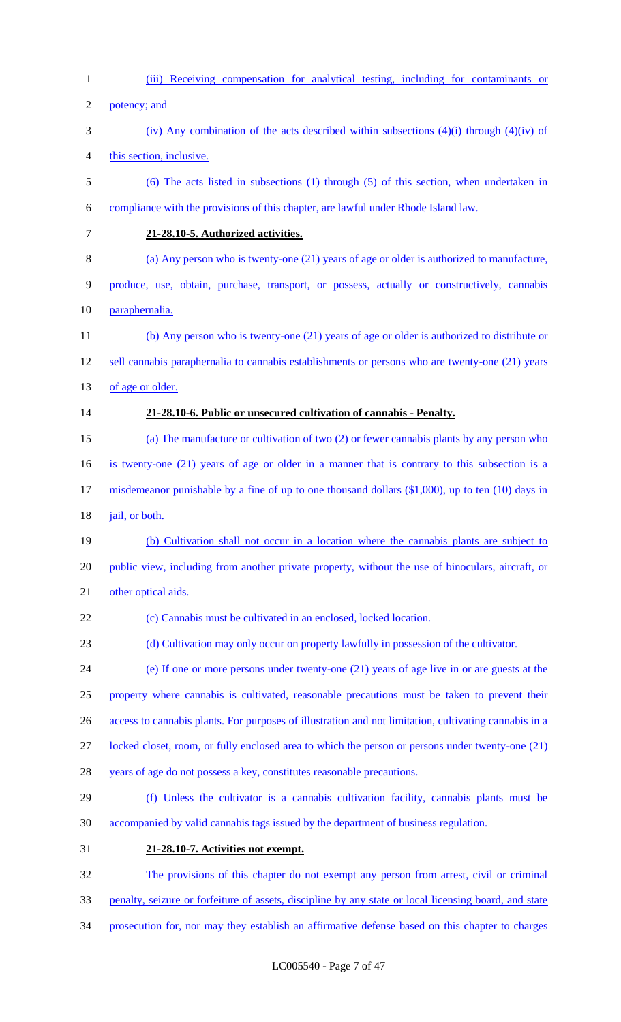| $\mathbf{1}$   | (iii) Receiving compensation for analytical testing, including for contaminants or                    |
|----------------|-------------------------------------------------------------------------------------------------------|
| $\overline{2}$ | potency; and                                                                                          |
| 3              | (iv) Any combination of the acts described within subsections $(4)(i)$ through $(4)(iv)$ of           |
| 4              | this section, inclusive.                                                                              |
| 5              | (6) The acts listed in subsections (1) through (5) of this section, when undertaken in                |
| 6              | compliance with the provisions of this chapter, are lawful under Rhode Island law.                    |
| 7              | 21-28.10-5. Authorized activities.                                                                    |
| 8              | (a) Any person who is twenty-one (21) years of age or older is authorized to manufacture,             |
| 9              | produce, use, obtain, purchase, transport, or possess, actually or constructively, cannabis           |
| 10             | paraphernalia.                                                                                        |
| 11             | (b) Any person who is twenty-one (21) years of age or older is authorized to distribute or            |
| 12             | sell cannabis paraphernalia to cannabis establishments or persons who are twenty-one (21) years       |
| 13             | of age or older.                                                                                      |
| 14             | 21-28.10-6. Public or unsecured cultivation of cannabis - Penalty.                                    |
| 15             | (a) The manufacture or cultivation of two (2) or fewer cannabis plants by any person who              |
| 16             | is twenty-one $(21)$ years of age or older in a manner that is contrary to this subsection is a       |
| 17             | misdemeanor punishable by a fine of up to one thousand dollars $(\$1,000)$ , up to ten (10) days in   |
| 18             | jail, or both.                                                                                        |
| 19             | (b) Cultivation shall not occur in a location where the cannabis plants are subject to                |
| 20             | public view, including from another private property, without the use of binoculars, aircraft, or     |
| 21             | other optical aids.                                                                                   |
| 22             | (c) Cannabis must be cultivated in an enclosed, locked location.                                      |
| 23             | (d) Cultivation may only occur on property lawfully in possession of the cultivator.                  |
| 24             | (e) If one or more persons under twenty-one (21) years of age live in or are guests at the            |
| 25             | property where cannabis is cultivated, reasonable precautions must be taken to prevent their          |
| 26             | access to cannabis plants. For purposes of illustration and not limitation, cultivating cannabis in a |
| 27             | locked closet, room, or fully enclosed area to which the person or persons under twenty-one (21)      |
| 28             | years of age do not possess a key, constitutes reasonable precautions.                                |
| 29             | (f) Unless the cultivator is a cannabis cultivation facility, cannabis plants must be                 |
| 30             | accompanied by valid cannabis tags issued by the department of business regulation.                   |
| 31             | 21-28.10-7. Activities not exempt.                                                                    |
| 32             | The provisions of this chapter do not exempt any person from arrest, civil or criminal                |
| 33             | penalty, seizure or forfeiture of assets, discipline by any state or local licensing board, and state |
| 34             | prosecution for, nor may they establish an affirmative defense based on this chapter to charges       |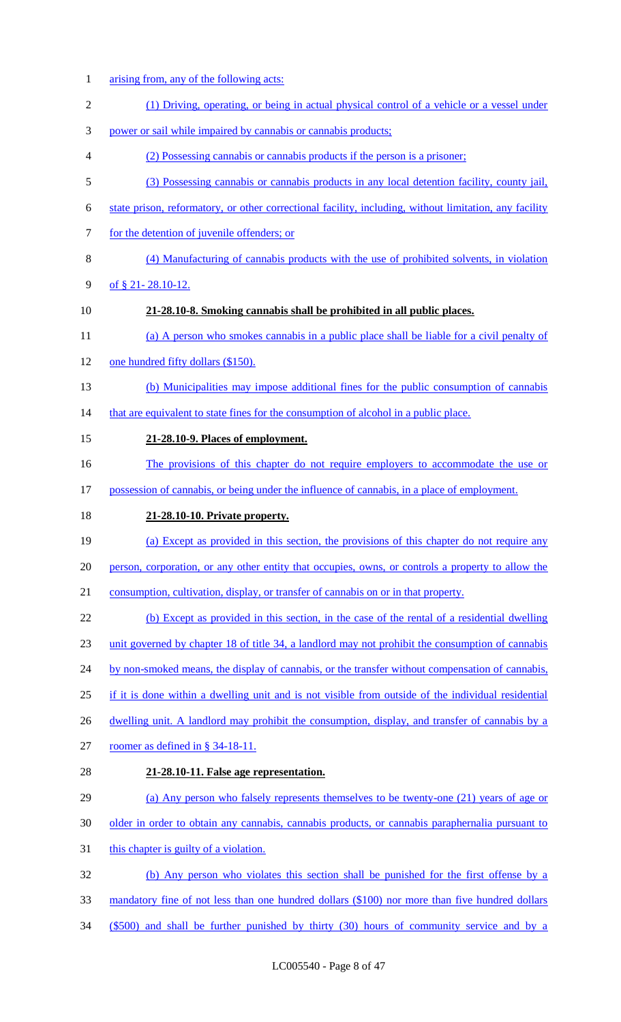arising from, any of the following acts: (1) Driving, operating, or being in actual physical control of a vehicle or a vessel under power or sail while impaired by cannabis or cannabis products; (2) Possessing cannabis or cannabis products if the person is a prisoner; (3) Possessing cannabis or cannabis products in any local detention facility, county jail, state prison, reformatory, or other correctional facility, including, without limitation, any facility 7 for the detention of juvenile offenders; or (4) Manufacturing of cannabis products with the use of prohibited solvents, in violation 9 of  $$21-28.10-12$ . **21-28.10-8. Smoking cannabis shall be prohibited in all public places.** 11 (a) A person who smokes cannabis in a public place shall be liable for a civil penalty of 12 one hundred fifty dollars (\$150). (b) Municipalities may impose additional fines for the public consumption of cannabis 14 that are equivalent to state fines for the consumption of alcohol in a public place. **21-28.10-9. Places of employment.** 16 The provisions of this chapter do not require employers to accommodate the use or possession of cannabis, or being under the influence of cannabis, in a place of employment. **21-28.10-10. Private property.** (a) Except as provided in this section, the provisions of this chapter do not require any 20 person, corporation, or any other entity that occupies, owns, or controls a property to allow the consumption, cultivation, display, or transfer of cannabis on or in that property. (b) Except as provided in this section, in the case of the rental of a residential dwelling unit governed by chapter 18 of title 34, a landlord may not prohibit the consumption of cannabis 24 by non-smoked means, the display of cannabis, or the transfer without compensation of cannabis, if it is done within a dwelling unit and is not visible from outside of the individual residential 26 dwelling unit. A landlord may prohibit the consumption, display, and transfer of cannabis by a roomer as defined in § 34-18-11. **21-28.10-11. False age representation.** (a) Any person who falsely represents themselves to be twenty-one (21) years of age or older in order to obtain any cannabis, cannabis products, or cannabis paraphernalia pursuant to 31 this chapter is guilty of a violation. (b) Any person who violates this section shall be punished for the first offense by a mandatory fine of not less than one hundred dollars (\$100) nor more than five hundred dollars (\$500) and shall be further punished by thirty (30) hours of community service and by a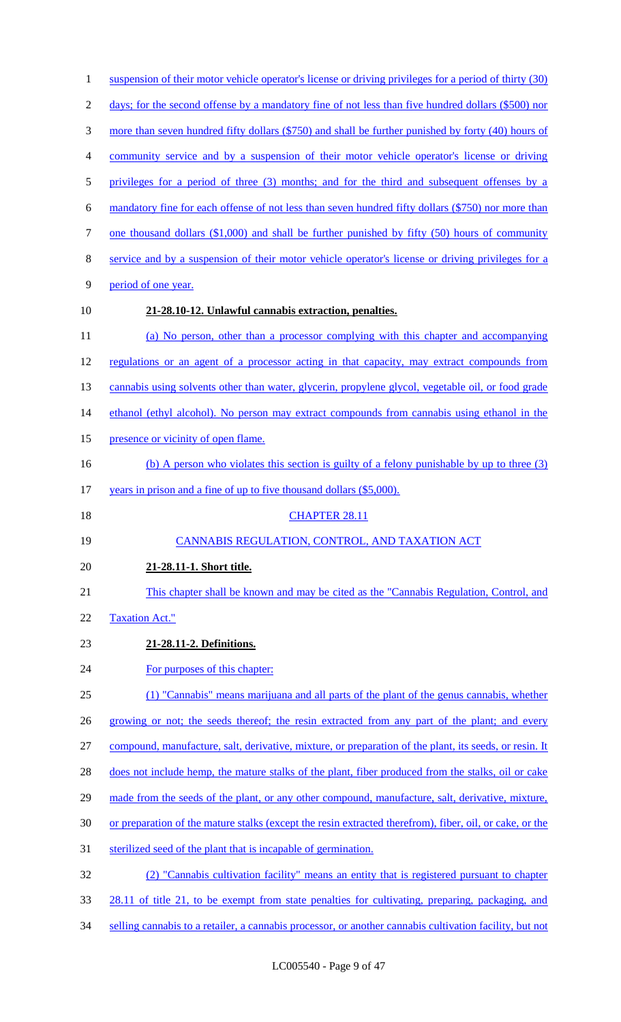| $\mathbf{1}$   | suspension of their motor vehicle operator's license or driving privileges for a period of thirty (30)  |
|----------------|---------------------------------------------------------------------------------------------------------|
| $\overline{2}$ | days; for the second offense by a mandatory fine of not less than five hundred dollars (\$500) nor      |
| 3              | more than seven hundred fifty dollars (\$750) and shall be further punished by forty (40) hours of      |
| 4              | community service and by a suspension of their motor vehicle operator's license or driving              |
| 5              | privileges for a period of three (3) months; and for the third and subsequent offenses by a             |
| 6              | mandatory fine for each offense of not less than seven hundred fifty dollars (\$750) nor more than      |
| $\tau$         | one thousand dollars $(\$1,000)$ and shall be further punished by fifty $(50)$ hours of community       |
| 8              | service and by a suspension of their motor vehicle operator's license or driving privileges for a       |
| 9              | period of one year.                                                                                     |
| 10             | 21-28.10-12. Unlawful cannabis extraction, penalties.                                                   |
| 11             | (a) No person, other than a processor complying with this chapter and accompanying                      |
| 12             | regulations or an agent of a processor acting in that capacity, may extract compounds from              |
| 13             | cannabis using solvents other than water, glycerin, propylene glycol, vegetable oil, or food grade      |
| 14             | ethanol (ethyl alcohol). No person may extract compounds from cannabis using ethanol in the             |
| 15             | presence or vicinity of open flame.                                                                     |
| 16             | (b) A person who violates this section is guilty of a felony punishable by up to three $(3)$            |
| 17             | years in prison and a fine of up to five thousand dollars (\$5,000).                                    |
| 18             | <b>CHAPTER 28.11</b>                                                                                    |
| 19             | CANNABIS REGULATION, CONTROL, AND TAXATION ACT                                                          |
| 20             | 21-28.11-1. Short title.                                                                                |
| 21             | This chapter shall be known and may be cited as the "Cannabis Regulation, Control, and                  |
| 22             | <b>Taxation Act."</b>                                                                                   |
| 23             | 21-28.11-2. Definitions.                                                                                |
| 24             | For purposes of this chapter:                                                                           |
| 25             |                                                                                                         |
|                | (1) "Cannabis" means marijuana and all parts of the plant of the genus cannabis, whether                |
| 26             | growing or not; the seeds thereof; the resin extracted from any part of the plant; and every            |
| 27             | compound, manufacture, salt, derivative, mixture, or preparation of the plant, its seeds, or resin. It  |
| 28             | does not include hemp, the mature stalks of the plant, fiber produced from the stalks, oil or cake      |
| 29             | made from the seeds of the plant, or any other compound, manufacture, salt, derivative, mixture,        |
| 30             | or preparation of the mature stalks (except the resin extracted therefrom), fiber, oil, or cake, or the |
| 31             | sterilized seed of the plant that is incapable of germination.                                          |
| 32             | (2) "Cannabis cultivation facility" means an entity that is registered pursuant to chapter              |
| 33             | 28.11 of title 21, to be exempt from state penalties for cultivating, preparing, packaging, and         |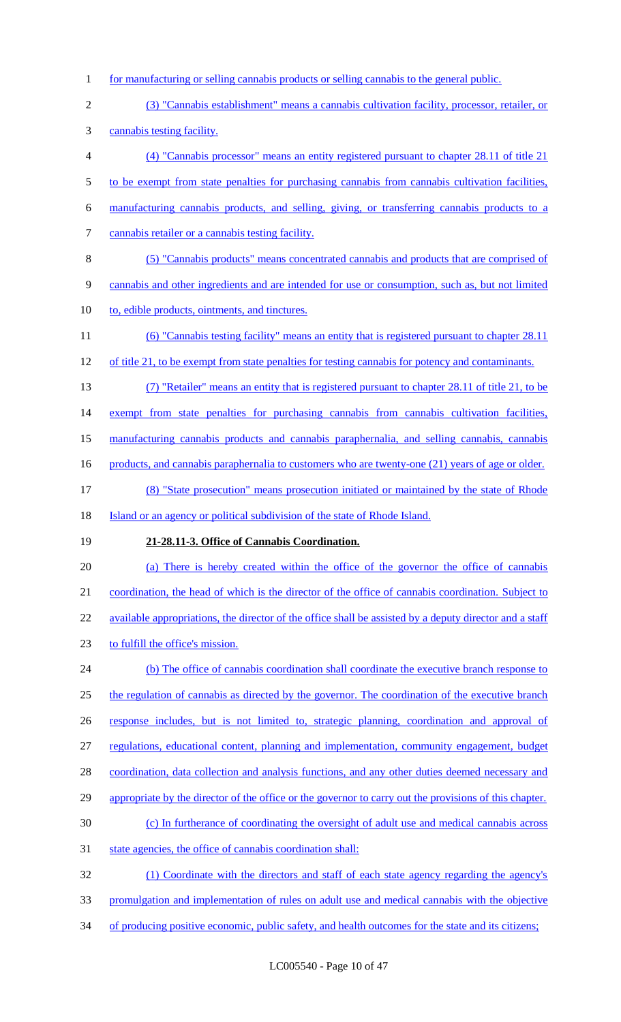- for manufacturing or selling cannabis products or selling cannabis to the general public.
- (3) "Cannabis establishment" means a cannabis cultivation facility, processor, retailer, or cannabis testing facility.
- (4) "Cannabis processor" means an entity registered pursuant to chapter 28.11 of title 21 5 to be exempt from state penalties for purchasing cannabis from cannabis cultivation facilities, manufacturing cannabis products, and selling, giving, or transferring cannabis products to a cannabis retailer or a cannabis testing facility. (5) "Cannabis products" means concentrated cannabis and products that are comprised of
- cannabis and other ingredients and are intended for use or consumption, such as, but not limited
- 10 to, edible products, ointments, and tinctures.
- (6) "Cannabis testing facility" means an entity that is registered pursuant to chapter 28.11
- 12 of title 21, to be exempt from state penalties for testing cannabis for potency and contaminants.
- (7) "Retailer" means an entity that is registered pursuant to chapter 28.11 of title 21, to be

14 exempt from state penalties for purchasing cannabis from cannabis cultivation facilities,

manufacturing cannabis products and cannabis paraphernalia, and selling cannabis, cannabis

- 16 products, and cannabis paraphernalia to customers who are twenty-one (21) years of age or older.
- (8) "State prosecution" means prosecution initiated or maintained by the state of Rhode 18 Island or an agency or political subdivision of the state of Rhode Island.
- **21-28.11-3. Office of Cannabis Coordination.**
- (a) There is hereby created within the office of the governor the office of cannabis
- coordination, the head of which is the director of the office of cannabis coordination. Subject to 22 available appropriations, the director of the office shall be assisted by a deputy director and a staff
- to fulfill the office's mission.
- 24 (b) The office of cannabis coordination shall coordinate the executive branch response to 25 the regulation of cannabis as directed by the governor. The coordination of the executive branch response includes, but is not limited to, strategic planning, coordination and approval of regulations, educational content, planning and implementation, community engagement, budget coordination, data collection and analysis functions, and any other duties deemed necessary and 29 appropriate by the director of the office or the governor to carry out the provisions of this chapter. (c) In furtherance of coordinating the oversight of adult use and medical cannabis across 31 state agencies, the office of cannabis coordination shall: (1) Coordinate with the directors and staff of each state agency regarding the agency's
- promulgation and implementation of rules on adult use and medical cannabis with the objective
- 34 of producing positive economic, public safety, and health outcomes for the state and its citizens;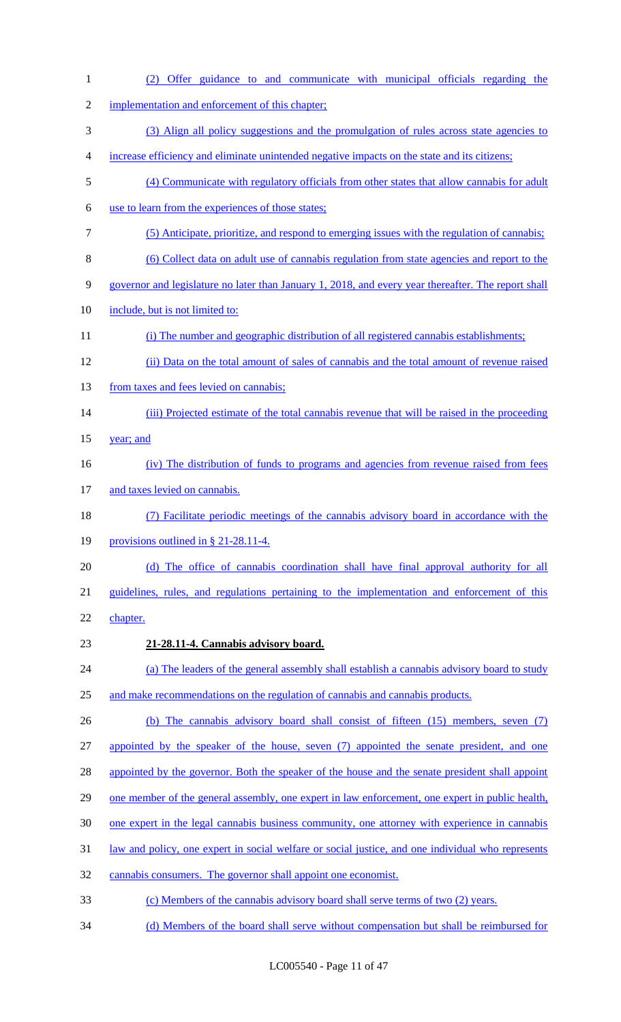| $\mathbf{1}$   | Offer guidance to and communicate with municipal officials regarding the<br>(2)                     |
|----------------|-----------------------------------------------------------------------------------------------------|
| $\mathfrak{2}$ | implementation and enforcement of this chapter;                                                     |
| 3              | (3) Align all policy suggestions and the promulgation of rules across state agencies to             |
| 4              | increase efficiency and eliminate unintended negative impacts on the state and its citizens;        |
| 5              | (4) Communicate with regulatory officials from other states that allow cannabis for adult           |
| 6              | use to learn from the experiences of those states;                                                  |
| 7              | (5) Anticipate, prioritize, and respond to emerging issues with the regulation of cannabis;         |
| 8              | (6) Collect data on adult use of cannabis regulation from state agencies and report to the          |
| 9              | governor and legislature no later than January 1, 2018, and every year thereafter. The report shall |
| 10             | include, but is not limited to:                                                                     |
| 11             | (i) The number and geographic distribution of all registered cannabis establishments;               |
| 12             | (ii) Data on the total amount of sales of cannabis and the total amount of revenue raised           |
| 13             | from taxes and fees levied on cannabis;                                                             |
| 14             | (iii) Projected estimate of the total cannabis revenue that will be raised in the proceeding        |
| 15             | year; and                                                                                           |
| 16             | (iv) The distribution of funds to programs and agencies from revenue raised from fees               |
| 17             | and taxes levied on cannabis.                                                                       |
| 18             | (7) Facilitate periodic meetings of the cannabis advisory board in accordance with the              |
| 19             | provisions outlined in $\S$ 21-28.11-4.                                                             |
| 20             | (d) The office of cannabis coordination shall have final approval authority for all                 |
| 21             | guidelines, rules, and regulations pertaining to the implementation and enforcement of this         |
| 22             | chapter.                                                                                            |
| 23             | 21-28.11-4. Cannabis advisory board.                                                                |
| 24             | (a) The leaders of the general assembly shall establish a cannabis advisory board to study          |
| 25             | and make recommendations on the regulation of cannabis and cannabis products.                       |
| 26             | (b) The cannabis advisory board shall consist of fifteen $(15)$ members, seven $(7)$                |
| 27             | appointed by the speaker of the house, seven (7) appointed the senate president, and one            |
| 28             | appointed by the governor. Both the speaker of the house and the senate president shall appoint     |
| 29             | one member of the general assembly, one expert in law enforcement, one expert in public health,     |
| 30             | one expert in the legal cannabis business community, one attorney with experience in cannabis       |
| 31             | law and policy, one expert in social welfare or social justice, and one individual who represents   |
| 32             | cannabis consumers. The governor shall appoint one economist.                                       |
| 33             | (c) Members of the cannabis advisory board shall serve terms of two (2) years.                      |
| 34             | (d) Members of the board shall serve without compensation but shall be reimbursed for               |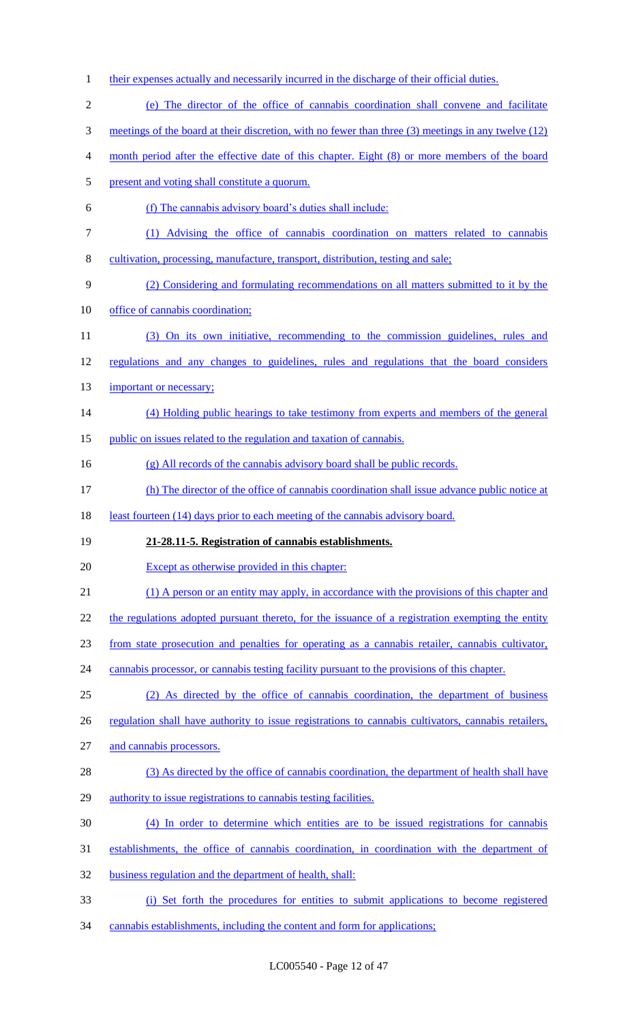1 their expenses actually and necessarily incurred in the discharge of their official duties. (e) The director of the office of cannabis coordination shall convene and facilitate meetings of the board at their discretion, with no fewer than three (3) meetings in any twelve (12) month period after the effective date of this chapter. Eight (8) or more members of the board present and voting shall constitute a quorum. (f) The cannabis advisory board's duties shall include: (1) Advising the office of cannabis coordination on matters related to cannabis cultivation, processing, manufacture, transport, distribution, testing and sale; (2) Considering and formulating recommendations on all matters submitted to it by the office of cannabis coordination; (3) On its own initiative, recommending to the commission guidelines, rules and regulations and any changes to guidelines, rules and regulations that the board considers 13 important or necessary; (4) Holding public hearings to take testimony from experts and members of the general 15 public on issues related to the regulation and taxation of cannabis. (g) All records of the cannabis advisory board shall be public records. (h) The director of the office of cannabis coordination shall issue advance public notice at 18 least fourteen (14) days prior to each meeting of the cannabis advisory board. **21-28.11-5. Registration of cannabis establishments.** Except as otherwise provided in this chapter: (1) A person or an entity may apply, in accordance with the provisions of this chapter and 22 the regulations adopted pursuant thereto, for the issuance of a registration exempting the entity from state prosecution and penalties for operating as a cannabis retailer, cannabis cultivator, 24 cannabis processor, or cannabis testing facility pursuant to the provisions of this chapter. (2) As directed by the office of cannabis coordination, the department of business 26 regulation shall have authority to issue registrations to cannabis cultivators, cannabis retailers, and cannabis processors. 28 (3) As directed by the office of cannabis coordination, the department of health shall have authority to issue registrations to cannabis testing facilities. (4) In order to determine which entities are to be issued registrations for cannabis establishments, the office of cannabis coordination, in coordination with the department of business regulation and the department of health, shall: (i) Set forth the procedures for entities to submit applications to become registered cannabis establishments, including the content and form for applications;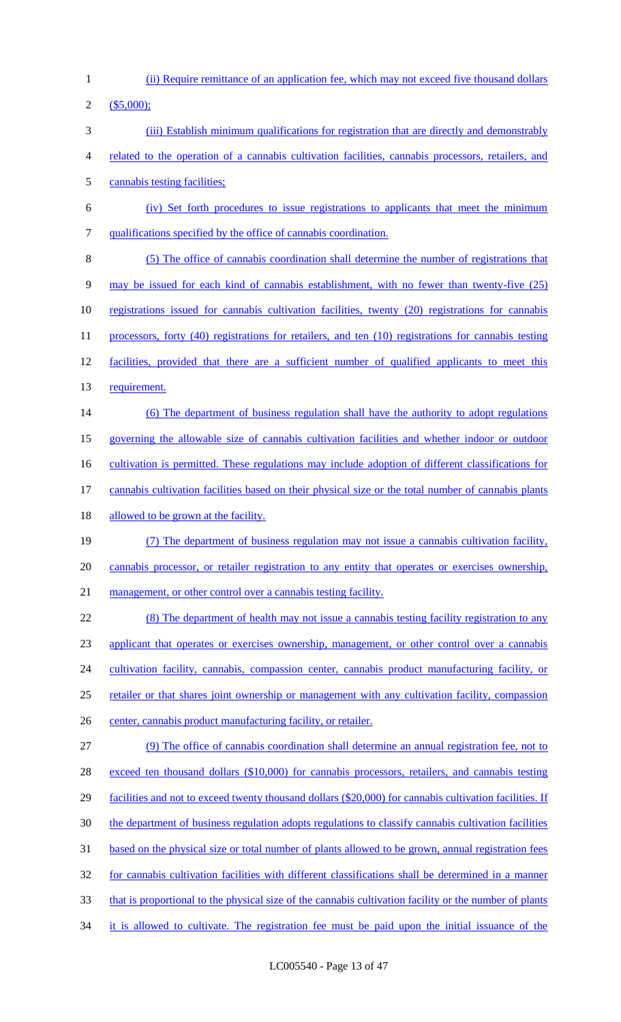(ii) Require remittance of an application fee, which may not exceed five thousand dollars

(\$5,000);

- (iii) Establish minimum qualifications for registration that are directly and demonstrably
- related to the operation of a cannabis cultivation facilities, cannabis processors, retailers, and
- cannabis testing facilities;
- (iv) Set forth procedures to issue registrations to applicants that meet the minimum qualifications specified by the office of cannabis coordination.
- (5) The office of cannabis coordination shall determine the number of registrations that may be issued for each kind of cannabis establishment, with no fewer than twenty-five (25) registrations issued for cannabis cultivation facilities, twenty (20) registrations for cannabis 11 processors, forty (40) registrations for retailers, and ten (10) registrations for cannabis testing 12 facilities, provided that there are a sufficient number of qualified applicants to meet this 13 requirement.
- 14 (6) The department of business regulation shall have the authority to adopt regulations
- governing the allowable size of cannabis cultivation facilities and whether indoor or outdoor
- 16 cultivation is permitted. These regulations may include adoption of different classifications for
- cannabis cultivation facilities based on their physical size or the total number of cannabis plants
- 18 allowed to be grown at the facility.
- (7) The department of business regulation may not issue a cannabis cultivation facility, cannabis processor, or retailer registration to any entity that operates or exercises ownership, 21 management, or other control over a cannabis testing facility.
- (8) The department of health may not issue a cannabis testing facility registration to any applicant that operates or exercises ownership, management, or other control over a cannabis 24 cultivation facility, cannabis, compassion center, cannabis product manufacturing facility, or retailer or that shares joint ownership or management with any cultivation facility, compassion 26 center, cannabis product manufacturing facility, or retailer.
- (9) The office of cannabis coordination shall determine an annual registration fee, not to 28 exceed ten thousand dollars (\$10,000) for cannabis processors, retailers, and cannabis testing 29 facilities and not to exceed twenty thousand dollars (\$20,000) for cannabis cultivation facilities. If the department of business regulation adopts regulations to classify cannabis cultivation facilities based on the physical size or total number of plants allowed to be grown, annual registration fees for cannabis cultivation facilities with different classifications shall be determined in a manner that is proportional to the physical size of the cannabis cultivation facility or the number of plants it is allowed to cultivate. The registration fee must be paid upon the initial issuance of the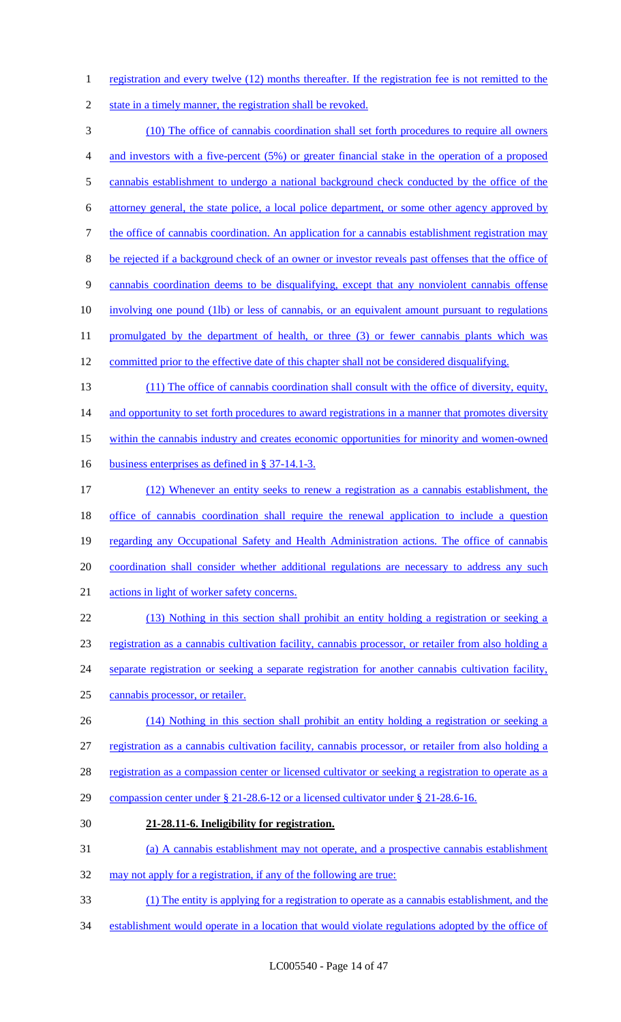1 registration and every twelve (12) months thereafter. If the registration fee is not remitted to the

2 state in a timely manner, the registration shall be revoked.

 (10) The office of cannabis coordination shall set forth procedures to require all owners and investors with a five-percent (5%) or greater financial stake in the operation of a proposed 5 cannabis establishment to undergo a national background check conducted by the office of the attorney general, the state police, a local police department, or some other agency approved by 7 the office of cannabis coordination. An application for a cannabis establishment registration may be rejected if a background check of an owner or investor reveals past offenses that the office of cannabis coordination deems to be disqualifying, except that any nonviolent cannabis offense involving one pound (1lb) or less of cannabis, or an equivalent amount pursuant to regulations 11 promulgated by the department of health, or three (3) or fewer cannabis plants which was committed prior to the effective date of this chapter shall not be considered disqualifying. (11) The office of cannabis coordination shall consult with the office of diversity, equity, 14 and opportunity to set forth procedures to award registrations in a manner that promotes diversity within the cannabis industry and creates economic opportunities for minority and women-owned 16 business enterprises as defined in § 37-14.1-3. (12) Whenever an entity seeks to renew a registration as a cannabis establishment, the office of cannabis coordination shall require the renewal application to include a question 19 regarding any Occupational Safety and Health Administration actions. The office of cannabis coordination shall consider whether additional regulations are necessary to address any such actions in light of worker safety concerns. (13) Nothing in this section shall prohibit an entity holding a registration or seeking a registration as a cannabis cultivation facility, cannabis processor, or retailer from also holding a separate registration or seeking a separate registration for another cannabis cultivation facility, cannabis processor, or retailer. (14) Nothing in this section shall prohibit an entity holding a registration or seeking a registration as a cannabis cultivation facility, cannabis processor, or retailer from also holding a 28 registration as a compassion center or licensed cultivator or seeking a registration to operate as a compassion center under § 21-28.6-12 or a licensed cultivator under § 21-28.6-16. **21-28.11-6. Ineligibility for registration.** (a) A cannabis establishment may not operate, and a prospective cannabis establishment 32 may not apply for a registration, if any of the following are true: (1) The entity is applying for a registration to operate as a cannabis establishment, and the establishment would operate in a location that would violate regulations adopted by the office of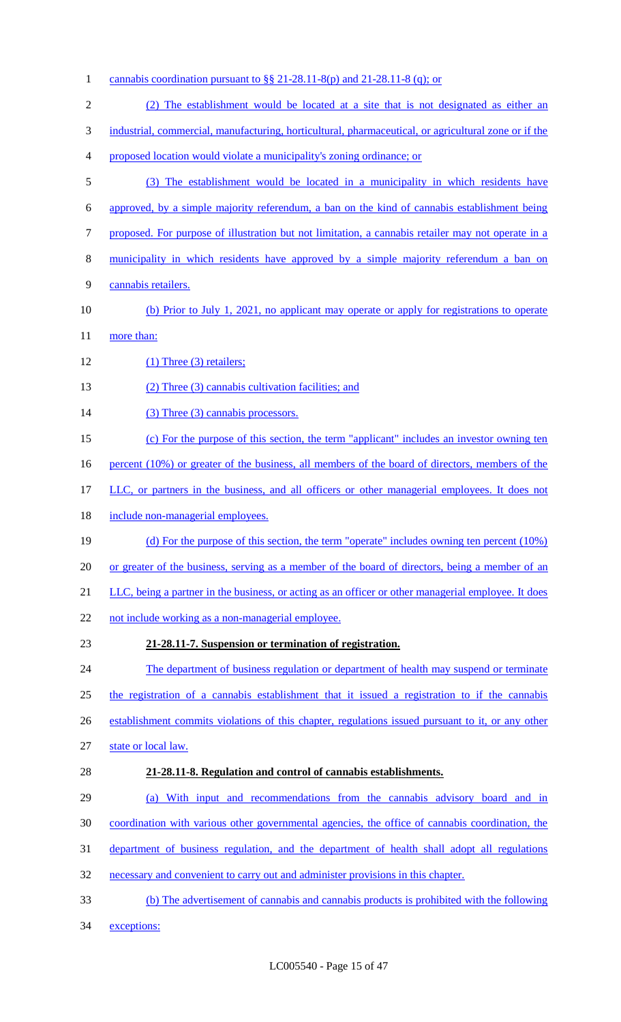cannabis coordination pursuant to §§ 21-28.11-8(p) and 21-28.11-8 (q); or (2) The establishment would be located at a site that is not designated as either an industrial, commercial, manufacturing, horticultural, pharmaceutical, or agricultural zone or if the proposed location would violate a municipality's zoning ordinance; or (3) The establishment would be located in a municipality in which residents have approved, by a simple majority referendum, a ban on the kind of cannabis establishment being proposed. For purpose of illustration but not limitation, a cannabis retailer may not operate in a municipality in which residents have approved by a simple majority referendum a ban on cannabis retailers. 10 (b) Prior to July 1, 2021, no applicant may operate or apply for registrations to operate 11 more than: 12 (1) Three (3) retailers; (2) Three (3) cannabis cultivation facilities; and 14 (3) Three (3) cannabis processors. (c) For the purpose of this section, the term "applicant" includes an investor owning ten 16 percent (10%) or greater of the business, all members of the board of directors, members of the 17 LLC, or partners in the business, and all officers or other managerial employees. It does not 18 include non-managerial employees. (d) For the purpose of this section, the term "operate" includes owning ten percent (10%) or greater of the business, serving as a member of the board of directors, being a member of an LLC, being a partner in the business, or acting as an officer or other managerial employee. It does 22 not include working as a non-managerial employee. **21-28.11-7. Suspension or termination of registration.** 24 The department of business regulation or department of health may suspend or terminate the registration of a cannabis establishment that it issued a registration to if the cannabis establishment commits violations of this chapter, regulations issued pursuant to it, or any other state or local law. **21-28.11-8. Regulation and control of cannabis establishments.** (a) With input and recommendations from the cannabis advisory board and in coordination with various other governmental agencies, the office of cannabis coordination, the department of business regulation, and the department of health shall adopt all regulations necessary and convenient to carry out and administer provisions in this chapter. (b) The advertisement of cannabis and cannabis products is prohibited with the following exceptions: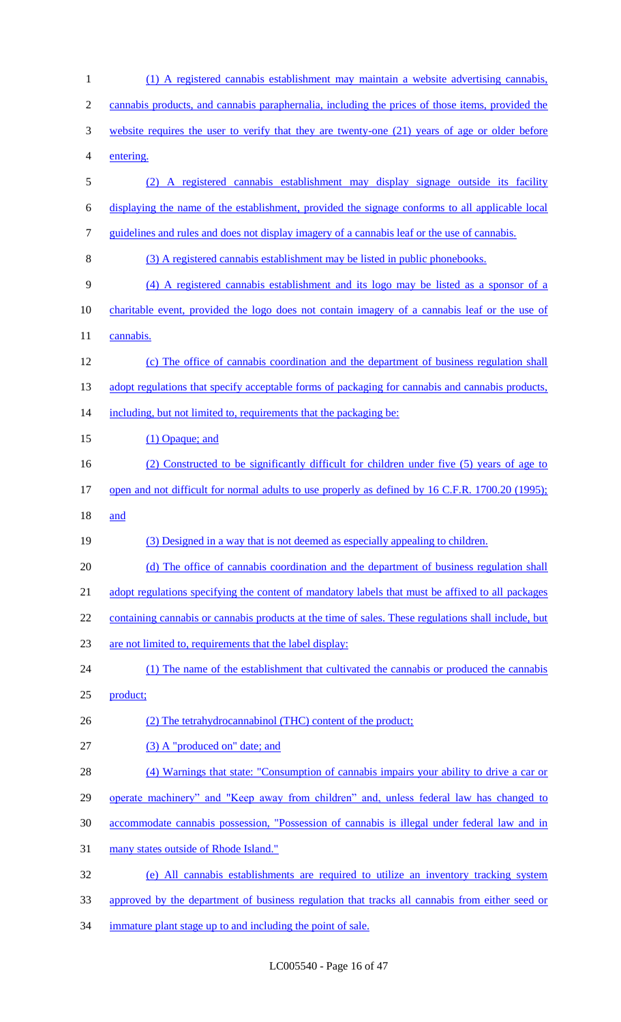| 1              | (1) A registered cannabis establishment may maintain a website advertising cannabis,                |
|----------------|-----------------------------------------------------------------------------------------------------|
| $\overline{2}$ | cannabis products, and cannabis paraphernalia, including the prices of those items, provided the    |
| 3              | website requires the user to verify that they are twenty-one (21) years of age or older before      |
| 4              | entering.                                                                                           |
| 5              | A registered cannabis establishment may display signage outside its facility<br>(2)                 |
| 6              | displaying the name of the establishment, provided the signage conforms to all applicable local     |
| 7              | guidelines and rules and does not display imagery of a cannabis leaf or the use of cannabis.        |
| 8              | (3) A registered cannabis establishment may be listed in public phonebooks.                         |
| 9              | (4) A registered cannabis establishment and its logo may be listed as a sponsor of a                |
| 10             | charitable event, provided the logo does not contain imagery of a cannabis leaf or the use of       |
| 11             | cannabis.                                                                                           |
| 12             | (c) The office of cannabis coordination and the department of business regulation shall             |
| 13             | adopt regulations that specify acceptable forms of packaging for cannabis and cannabis products,    |
| 14             | including, but not limited to, requirements that the packaging be:                                  |
| 15             | (1) Opaque; and                                                                                     |
| 16             | (2) Constructed to be significantly difficult for children under five (5) years of age to           |
| 17             | open and not difficult for normal adults to use properly as defined by 16 C.F.R. 1700.20 (1995);    |
| 18             | and                                                                                                 |
| 19             | (3) Designed in a way that is not deemed as especially appealing to children.                       |
| 20             | (d) The office of cannabis coordination and the department of business regulation shall             |
| 21             | adopt regulations specifying the content of mandatory labels that must be affixed to all packages   |
| 22             | containing cannabis or cannabis products at the time of sales. These regulations shall include, but |
| 23             | are not limited to, requirements that the label display:                                            |
| 24             | (1) The name of the establishment that cultivated the cannabis or produced the cannabis             |
| 25             | product;                                                                                            |
| 26             | (2) The tetrahydrocannabinol (THC) content of the product;                                          |
| 27             | (3) A "produced on" date; and                                                                       |
| 28             | (4) Warnings that state: "Consumption of cannabis impairs your ability to drive a car or            |
| 29             | operate machinery" and "Keep away from children" and, unless federal law has changed to             |
| 30             | accommodate cannabis possession, "Possession of cannabis is illegal under federal law and in        |
| 31             | many states outside of Rhode Island."                                                               |
| 32             | (e) All cannabis establishments are required to utilize an inventory tracking system                |
| 33             | approved by the department of business regulation that tracks all cannabis from either seed or      |
|                |                                                                                                     |

immature plant stage up to and including the point of sale.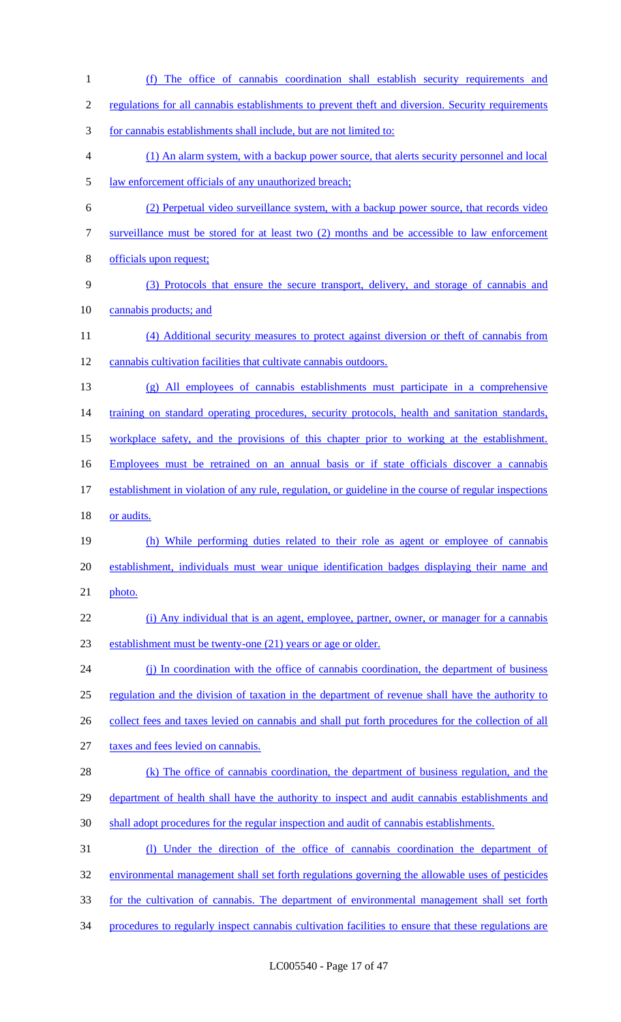(f) The office of cannabis coordination shall establish security requirements and regulations for all cannabis establishments to prevent theft and diversion. Security requirements for cannabis establishments shall include, but are not limited to: (1) An alarm system, with a backup power source, that alerts security personnel and local law enforcement officials of any unauthorized breach; (2) Perpetual video surveillance system, with a backup power source, that records video surveillance must be stored for at least two (2) months and be accessible to law enforcement officials upon request; (3) Protocols that ensure the secure transport, delivery, and storage of cannabis and 10 cannabis products; and (4) Additional security measures to protect against diversion or theft of cannabis from cannabis cultivation facilities that cultivate cannabis outdoors. (g) All employees of cannabis establishments must participate in a comprehensive 14 training on standard operating procedures, security protocols, health and sanitation standards, workplace safety, and the provisions of this chapter prior to working at the establishment. Employees must be retrained on an annual basis or if state officials discover a cannabis establishment in violation of any rule, regulation, or guideline in the course of regular inspections 18 or audits. (h) While performing duties related to their role as agent or employee of cannabis establishment, individuals must wear unique identification badges displaying their name and photo. (i) Any individual that is an agent, employee, partner, owner, or manager for a cannabis establishment must be twenty-one (21) years or age or older. 24 (j) In coordination with the office of cannabis coordination, the department of business regulation and the division of taxation in the department of revenue shall have the authority to 26 collect fees and taxes levied on cannabis and shall put forth procedures for the collection of all taxes and fees levied on cannabis. 28 (k) The office of cannabis coordination, the department of business regulation, and the 29 department of health shall have the authority to inspect and audit cannabis establishments and shall adopt procedures for the regular inspection and audit of cannabis establishments. (l) Under the direction of the office of cannabis coordination the department of environmental management shall set forth regulations governing the allowable uses of pesticides 33 for the cultivation of cannabis. The department of environmental management shall set forth procedures to regularly inspect cannabis cultivation facilities to ensure that these regulations are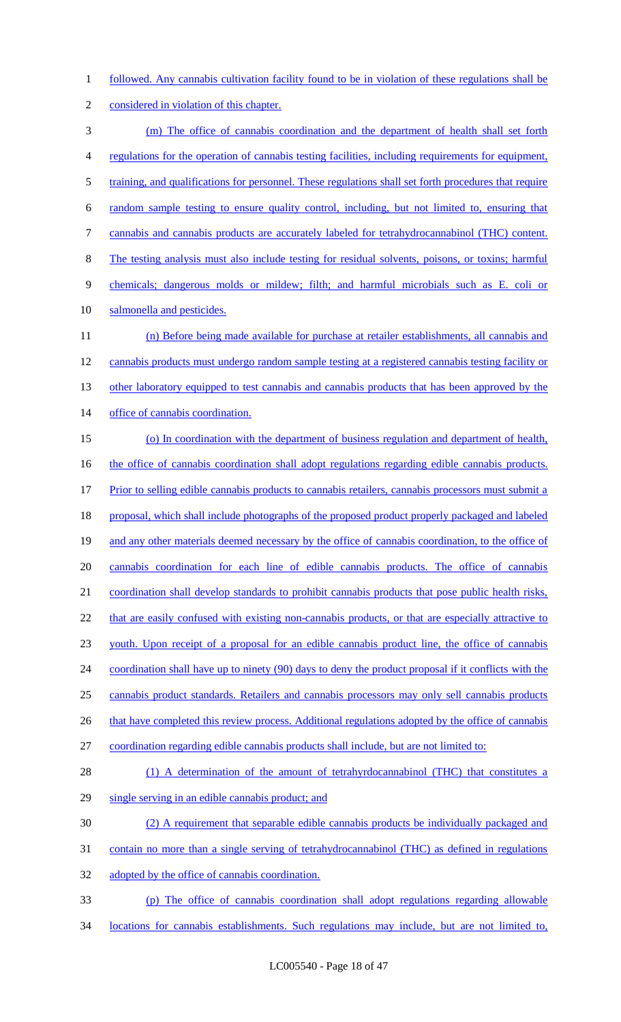followed. Any cannabis cultivation facility found to be in violation of these regulations shall be

considered in violation of this chapter.

 (m) The office of cannabis coordination and the department of health shall set forth regulations for the operation of cannabis testing facilities, including requirements for equipment, 5 training, and qualifications for personnel. These regulations shall set forth procedures that require random sample testing to ensure quality control, including, but not limited to, ensuring that cannabis and cannabis products are accurately labeled for tetrahydrocannabinol (THC) content. The testing analysis must also include testing for residual solvents, poisons, or toxins; harmful chemicals; dangerous molds or mildew; filth; and harmful microbials such as E. coli or 10 salmonella and pesticides. (n) Before being made available for purchase at retailer establishments, all cannabis and cannabis products must undergo random sample testing at a registered cannabis testing facility or 13 other laboratory equipped to test cannabis and cannabis products that has been approved by the 14 office of cannabis coordination. (o) In coordination with the department of business regulation and department of health, 16 the office of cannabis coordination shall adopt regulations regarding edible cannabis products. 17 Prior to selling edible cannabis products to cannabis retailers, cannabis processors must submit a proposal, which shall include photographs of the proposed product properly packaged and labeled 19 and any other materials deemed necessary by the office of cannabis coordination, to the office of cannabis coordination for each line of edible cannabis products. The office of cannabis coordination shall develop standards to prohibit cannabis products that pose public health risks, 22 that are easily confused with existing non-cannabis products, or that are especially attractive to youth. Upon receipt of a proposal for an edible cannabis product line, the office of cannabis coordination shall have up to ninety (90) days to deny the product proposal if it conflicts with the cannabis product standards. Retailers and cannabis processors may only sell cannabis products 26 that have completed this review process. Additional regulations adopted by the office of cannabis coordination regarding edible cannabis products shall include, but are not limited to: 28 (1) A determination of the amount of tetrahyrdocannabinol (THC) that constitutes a single serving in an edible cannabis product; and (2) A requirement that separable edible cannabis products be individually packaged and contain no more than a single serving of tetrahydrocannabinol (THC) as defined in regulations 32 adopted by the office of cannabis coordination. (p) The office of cannabis coordination shall adopt regulations regarding allowable

locations for cannabis establishments. Such regulations may include, but are not limited to,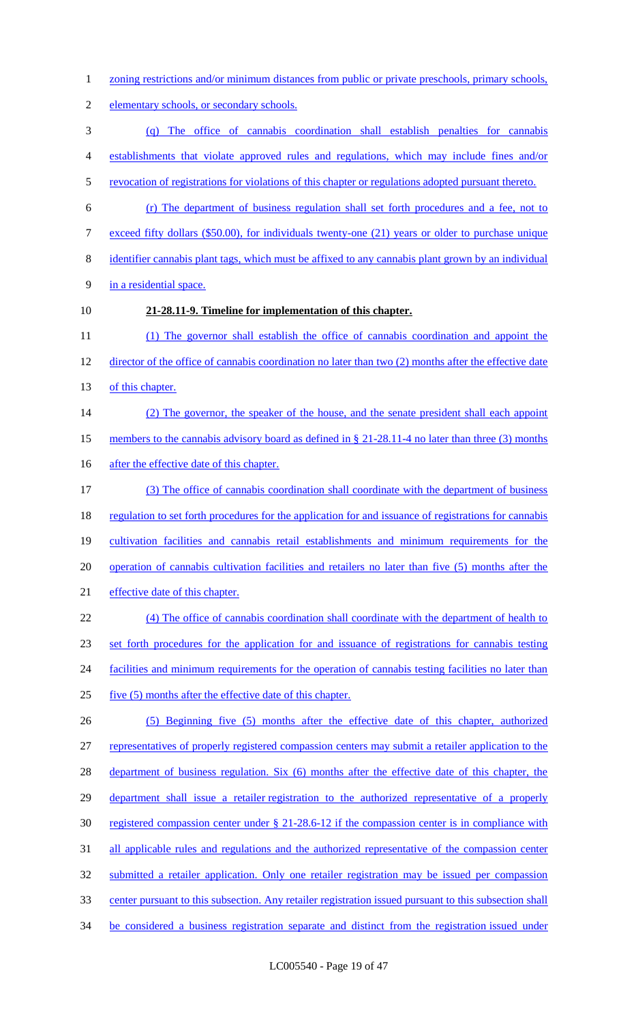- 1 zoning restrictions and/or minimum distances from public or private preschools, primary schools,
- elementary schools, or secondary schools.
- (q) The office of cannabis coordination shall establish penalties for cannabis establishments that violate approved rules and regulations, which may include fines and/or
- revocation of registrations for violations of this chapter or regulations adopted pursuant thereto.
- (r) The department of business regulation shall set forth procedures and a fee, not to
- exceed fifty dollars (\$50.00), for individuals twenty-one (21) years or older to purchase unique
- identifier cannabis plant tags, which must be affixed to any cannabis plant grown by an individual
- in a residential space.
- 

## **21-28.11-9. Timeline for implementation of this chapter.**

 (1) The governor shall establish the office of cannabis coordination and appoint the director of the office of cannabis coordination no later than two (2) months after the effective date 13 of this chapter.

- (2) The governor, the speaker of the house, and the senate president shall each appoint
- 15 members to the cannabis advisory board as defined in § 21-28.11-4 no later than three (3) months
- 16 after the effective date of this chapter.
- (3) The office of cannabis coordination shall coordinate with the department of business 18 regulation to set forth procedures for the application for and issuance of registrations for cannabis cultivation facilities and cannabis retail establishments and minimum requirements for the operation of cannabis cultivation facilities and retailers no later than five (5) months after the effective date of this chapter. (4) The office of cannabis coordination shall coordinate with the department of health to
- 

set forth procedures for the application for and issuance of registrations for cannabis testing

- 24 facilities and minimum requirements for the operation of cannabis testing facilities no later than
- five (5) months after the effective date of this chapter.
- (5) Beginning five (5) months after the effective date of this chapter, authorized representatives of properly registered compassion centers may submit a retailer application to the 28 department of business regulation. Six (6) months after the effective date of this chapter, the department shall issue a retailer registration to the authorized representative of a properly registered compassion center under § 21-28.6-12 if the compassion center is in compliance with 31 all applicable rules and regulations and the authorized representative of the compassion center submitted a retailer application. Only one retailer registration may be issued per compassion center pursuant to this subsection. Any retailer registration issued pursuant to this subsection shall
- 34 be considered a business registration separate and distinct from the registration issued under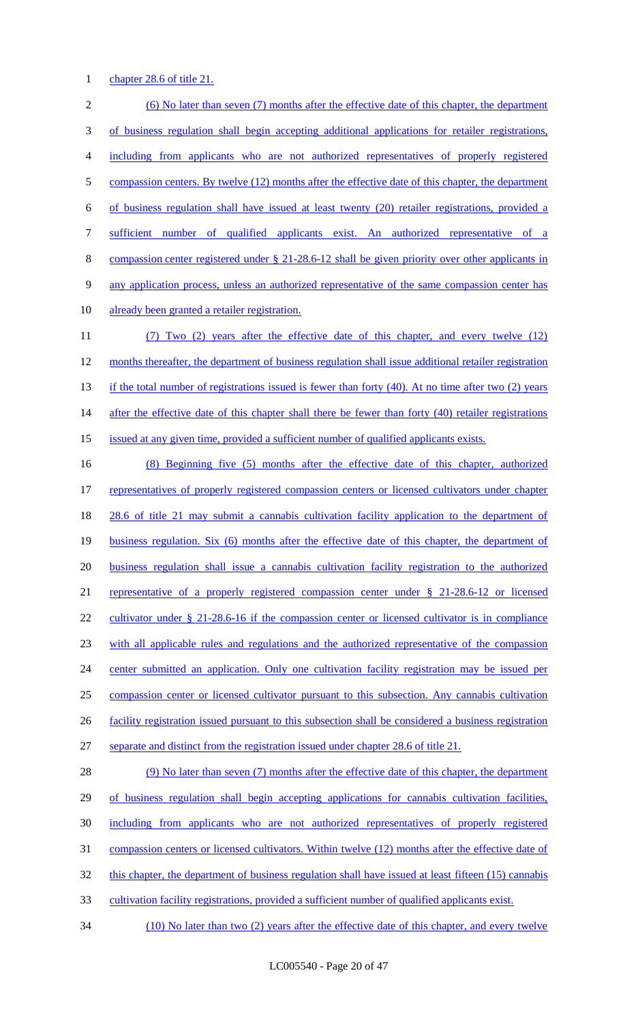### 1 chapter 28.6 of title 21.

 (6) No later than seven (7) months after the effective date of this chapter, the department of business regulation shall begin accepting additional applications for retailer registrations, including from applicants who are not authorized representatives of properly registered 5 compassion centers. By twelve (12) months after the effective date of this chapter, the department of business regulation shall have issued at least twenty (20) retailer registrations, provided a sufficient number of qualified applicants exist. An authorized representative of a compassion center registered under § 21-28.6-12 shall be given priority over other applicants in any application process, unless an authorized representative of the same compassion center has 10 already been granted a retailer registration. (7) Two (2) years after the effective date of this chapter, and every twelve (12) 12 months thereafter, the department of business regulation shall issue additional retailer registration 13 if the total number of registrations issued is fewer than forty (40). At no time after two (2) years 14 after the effective date of this chapter shall there be fewer than forty (40) retailer registrations issued at any given time, provided a sufficient number of qualified applicants exists. (8) Beginning five (5) months after the effective date of this chapter, authorized

 representatives of properly registered compassion centers or licensed cultivators under chapter 28.6 of title 21 may submit a cannabis cultivation facility application to the department of business regulation. Six (6) months after the effective date of this chapter, the department of business regulation shall issue a cannabis cultivation facility registration to the authorized representative of a properly registered compassion center under § 21-28.6-12 or licensed 22 cultivator under § 21-28.6-16 if the compassion center or licensed cultivator is in compliance with all applicable rules and regulations and the authorized representative of the compassion center submitted an application. Only one cultivation facility registration may be issued per compassion center or licensed cultivator pursuant to this subsection. Any cannabis cultivation facility registration issued pursuant to this subsection shall be considered a business registration separate and distinct from the registration issued under chapter 28.6 of title 21.

28 (9) No later than seven (7) months after the effective date of this chapter, the department 29 of business regulation shall begin accepting applications for cannabis cultivation facilities, including from applicants who are not authorized representatives of properly registered 31 compassion centers or licensed cultivators. Within twelve (12) months after the effective date of 32 this chapter, the department of business regulation shall have issued at least fifteen (15) cannabis cultivation facility registrations, provided a sufficient number of qualified applicants exist.

(10) No later than two (2) years after the effective date of this chapter, and every twelve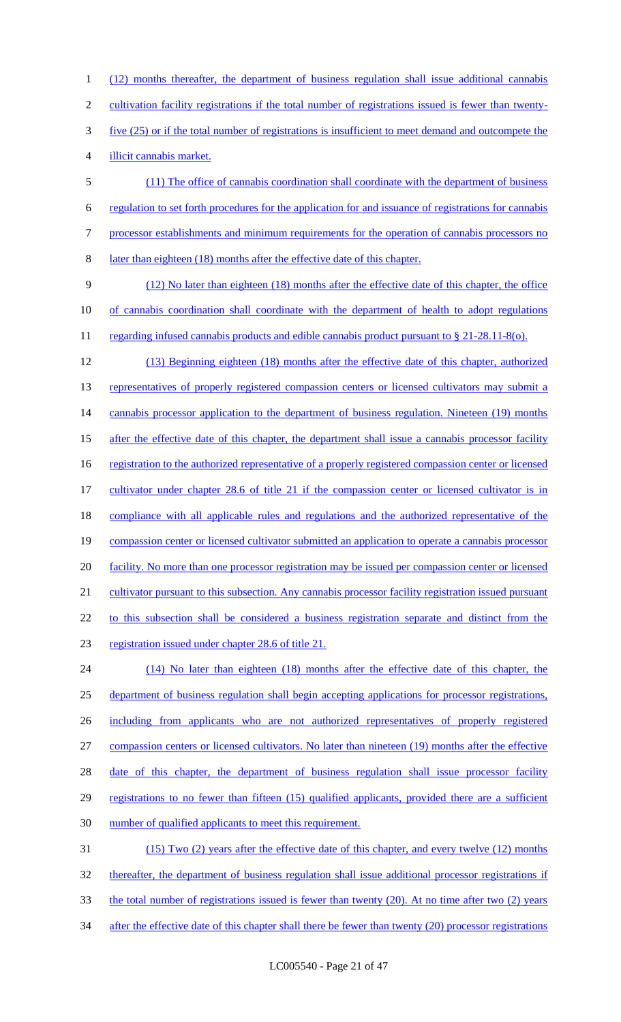(12) months thereafter, the department of business regulation shall issue additional cannabis cultivation facility registrations if the total number of registrations issued is fewer than twenty- five (25) or if the total number of registrations is insufficient to meet demand and outcompete the illicit cannabis market.

 (11) The office of cannabis coordination shall coordinate with the department of business regulation to set forth procedures for the application for and issuance of registrations for cannabis processor establishments and minimum requirements for the operation of cannabis processors no later than eighteen (18) months after the effective date of this chapter.

 (12) No later than eighteen (18) months after the effective date of this chapter, the office of cannabis coordination shall coordinate with the department of health to adopt regulations 11 regarding infused cannabis products and edible cannabis product pursuant to § 21-28.11-8(o).

 (13) Beginning eighteen (18) months after the effective date of this chapter, authorized 13 representatives of properly registered compassion centers or licensed cultivators may submit a 14 cannabis processor application to the department of business regulation. Nineteen (19) months 15 after the effective date of this chapter, the department shall issue a cannabis processor facility 16 registration to the authorized representative of a properly registered compassion center or licensed 17 cultivator under chapter 28.6 of title 21 if the compassion center or licensed cultivator is in compliance with all applicable rules and regulations and the authorized representative of the compassion center or licensed cultivator submitted an application to operate a cannabis processor 20 facility. No more than one processor registration may be issued per compassion center or licensed cultivator pursuant to this subsection. Any cannabis processor facility registration issued pursuant to this subsection shall be considered a business registration separate and distinct from the registration issued under chapter 28.6 of title 21. (14) No later than eighteen (18) months after the effective date of this chapter, the

 department of business regulation shall begin accepting applications for processor registrations, including from applicants who are not authorized representatives of properly registered compassion centers or licensed cultivators. No later than nineteen (19) months after the effective 28 date of this chapter, the department of business regulation shall issue processor facility 29 registrations to no fewer than fifteen (15) qualified applicants, provided there are a sufficient number of qualified applicants to meet this requirement. (15) Two (2) years after the effective date of this chapter, and every twelve (12) months thereafter, the department of business regulation shall issue additional processor registrations if

the total number of registrations issued is fewer than twenty (20). At no time after two (2) years

34 after the effective date of this chapter shall there be fewer than twenty (20) processor registrations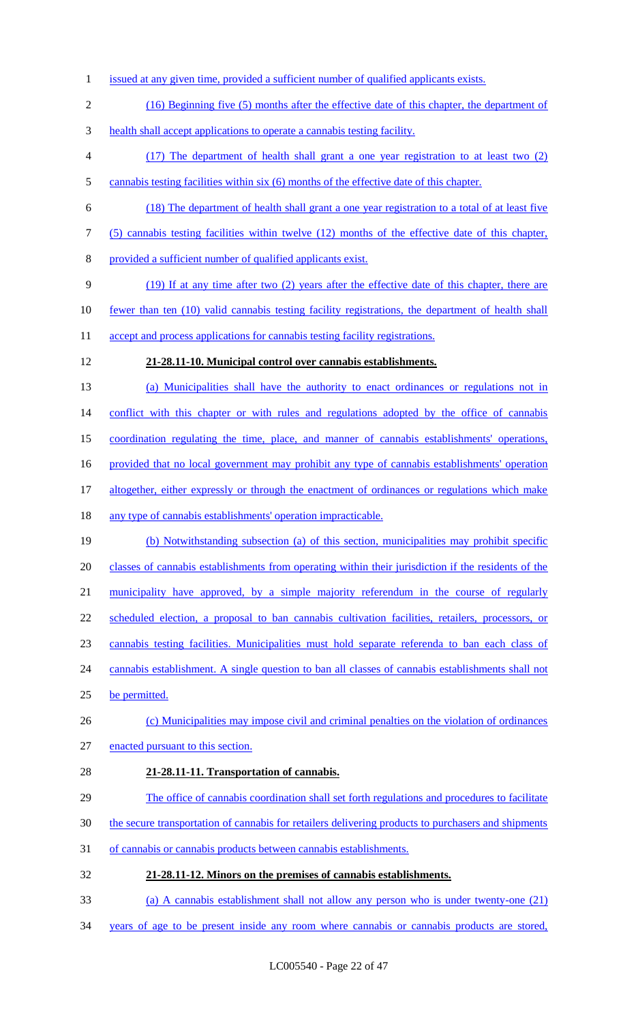- issued at any given time, provided a sufficient number of qualified applicants exists.
- (16) Beginning five (5) months after the effective date of this chapter, the department of
- health shall accept applications to operate a cannabis testing facility.
- (17) The department of health shall grant a one year registration to at least two (2) cannabis testing facilities within six (6) months of the effective date of this chapter.
- (18) The department of health shall grant a one year registration to a total of at least five
- (5) cannabis testing facilities within twelve (12) months of the effective date of this chapter,
- provided a sufficient number of qualified applicants exist.
- (19) If at any time after two (2) years after the effective date of this chapter, there are
- fewer than ten (10) valid cannabis testing facility registrations, the department of health shall
- 11 accept and process applications for cannabis testing facility registrations.
- **21-28.11-10. Municipal control over cannabis establishments.**
- (a) Municipalities shall have the authority to enact ordinances or regulations not in 14 conflict with this chapter or with rules and regulations adopted by the office of cannabis coordination regulating the time, place, and manner of cannabis establishments' operations, provided that no local government may prohibit any type of cannabis establishments' operation
- 
- 17 altogether, either expressly or through the enactment of ordinances or regulations which make
- any type of cannabis establishments' operation impracticable.
- (b) Notwithstanding subsection (a) of this section, municipalities may prohibit specific 20 classes of cannabis establishments from operating within their jurisdiction if the residents of the municipality have approved, by a simple majority referendum in the course of regularly scheduled election, a proposal to ban cannabis cultivation facilities, retailers, processors, or cannabis testing facilities. Municipalities must hold separate referenda to ban each class of 24 cannabis establishment. A single question to ban all classes of cannabis establishments shall not
- be permitted.
- 26 (c) Municipalities may impose civil and criminal penalties on the violation of ordinances
- enacted pursuant to this section.
- **21-28.11-11. Transportation of cannabis.**
- The office of cannabis coordination shall set forth regulations and procedures to facilitate
- the secure transportation of cannabis for retailers delivering products to purchasers and shipments
- of cannabis or cannabis products between cannabis establishments.
- **21-28.11-12. Minors on the premises of cannabis establishments.**
- (a) A cannabis establishment shall not allow any person who is under twenty-one (21)
- years of age to be present inside any room where cannabis or cannabis products are stored,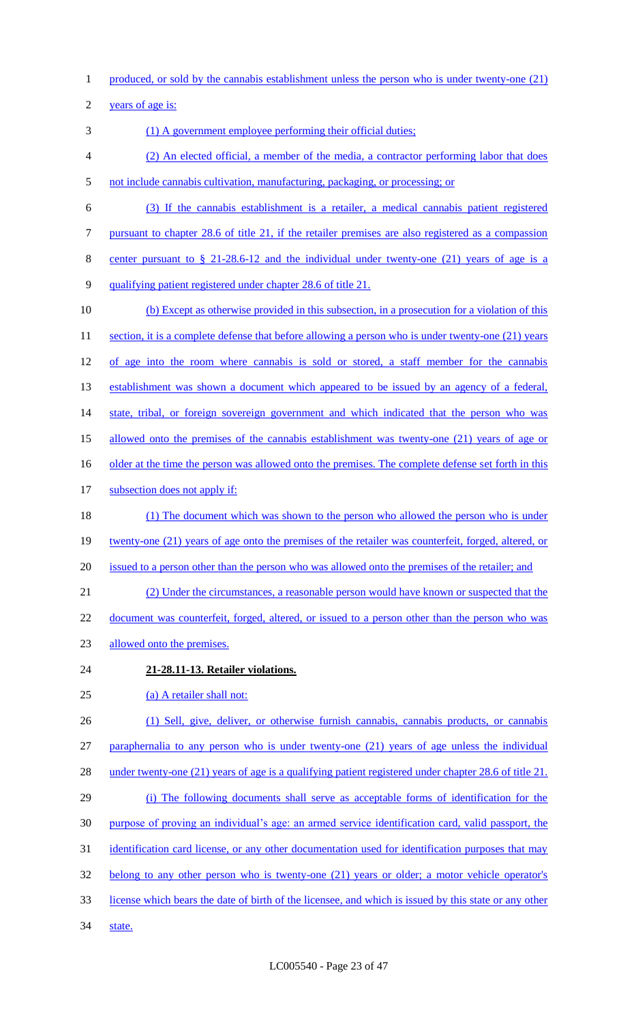1 produced, or sold by the cannabis establishment unless the person who is under twenty-one (21)

2 years of age is:

- 3 (1) A government employee performing their official duties;
- 4 (2) An elected official, a member of the media, a contractor performing labor that does 5 not include cannabis cultivation, manufacturing, packaging, or processing; or
- 6 (3) If the cannabis establishment is a retailer, a medical cannabis patient registered
- 7 pursuant to chapter 28.6 of title 21, if the retailer premises are also registered as a compassion
- 8 center pursuant to § 21-28.6-12 and the individual under twenty-one (21) years of age is a
- 9 qualifying patient registered under chapter 28.6 of title 21.
- 10 (b) Except as otherwise provided in this subsection, in a prosecution for a violation of this 11 section, it is a complete defense that before allowing a person who is under twenty-one (21) years 12 of age into the room where cannabis is sold or stored, a staff member for the cannabis 13 establishment was shown a document which appeared to be issued by an agency of a federal, 14 state, tribal, or foreign sovereign government and which indicated that the person who was 15 allowed onto the premises of the cannabis establishment was twenty-one (21) years of age or 16 older at the time the person was allowed onto the premises. The complete defense set forth in this 17 subsection does not apply if: 18 (1) The document which was shown to the person who allowed the person who is under 19 twenty-one (21) years of age onto the premises of the retailer was counterfeit, forged, altered, or 20 issued to a person other than the person who was allowed onto the premises of the retailer; and 21 (2) Under the circumstances, a reasonable person would have known or suspected that the 22 document was counterfeit, forged, altered, or issued to a person other than the person who was 23 allowed onto the premises. 24 **21-28.11-13. Retailer violations.** 25 (a) A retailer shall not: 26 (1) Sell, give, deliver, or otherwise furnish cannabis, cannabis products, or cannabis 27 paraphernalia to any person who is under twenty-one (21) years of age unless the individual 28 under twenty-one (21) years of age is a qualifying patient registered under chapter 28.6 of title 21. 29 (i) The following documents shall serve as acceptable forms of identification for the 30 purpose of proving an individual's age: an armed service identification card, valid passport, the 31 identification card license, or any other documentation used for identification purposes that may 32 belong to any other person who is twenty-one (21) years or older; a motor vehicle operator's 33 license which bears the date of birth of the licensee, and which is issued by this state or any other
- 34 state.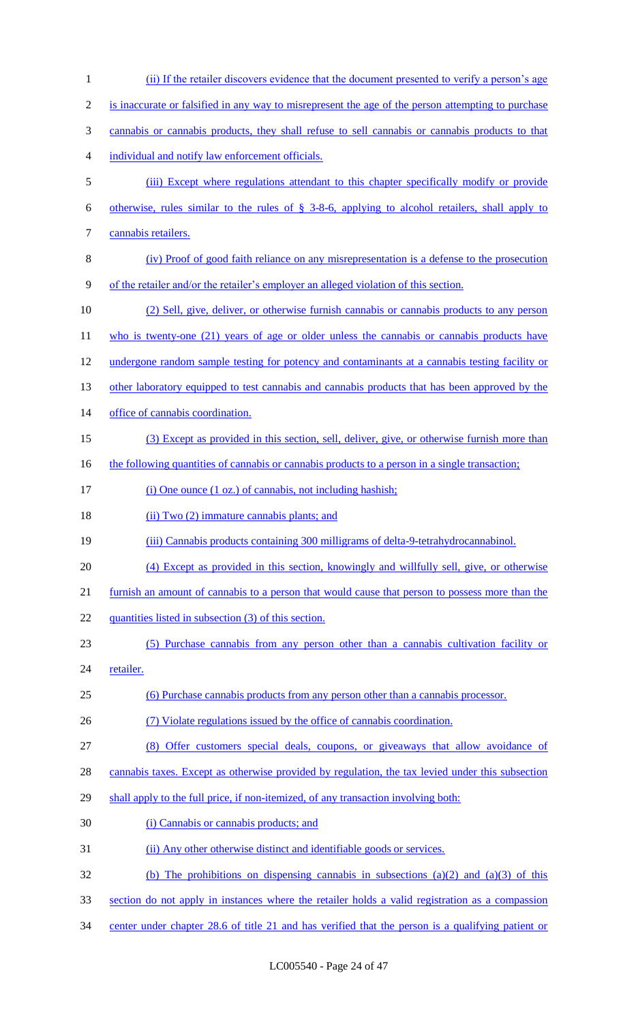(ii) If the retailer discovers evidence that the document presented to verify a person's age is inaccurate or falsified in any way to misrepresent the age of the person attempting to purchase cannabis or cannabis products, they shall refuse to sell cannabis or cannabis products to that individual and notify law enforcement officials. (iii) Except where regulations attendant to this chapter specifically modify or provide otherwise, rules similar to the rules of § 3-8-6, applying to alcohol retailers, shall apply to cannabis retailers. (iv) Proof of good faith reliance on any misrepresentation is a defense to the prosecution of the retailer and/or the retailer's employer an alleged violation of this section. (2) Sell, give, deliver, or otherwise furnish cannabis or cannabis products to any person 11 who is twenty-one (21) years of age or older unless the cannabis or cannabis products have undergone random sample testing for potency and contaminants at a cannabis testing facility or 13 other laboratory equipped to test cannabis and cannabis products that has been approved by the office of cannabis coordination. (3) Except as provided in this section, sell, deliver, give, or otherwise furnish more than 16 the following quantities of cannabis or cannabis products to a person in a single transaction; 17 (i) One ounce (1 oz.) of cannabis, not including hashish; 18 (ii) Two (2) immature cannabis plants; and (iii) Cannabis products containing 300 milligrams of delta-9-tetrahydrocannabinol. (4) Except as provided in this section, knowingly and willfully sell, give, or otherwise furnish an amount of cannabis to a person that would cause that person to possess more than the 22 quantities listed in subsection (3) of this section. (5) Purchase cannabis from any person other than a cannabis cultivation facility or 24 <u>retailer</u>. (6) Purchase cannabis products from any person other than a cannabis processor. (7) Violate regulations issued by the office of cannabis coordination. (8) Offer customers special deals, coupons, or giveaways that allow avoidance of 28 cannabis taxes. Except as otherwise provided by regulation, the tax levied under this subsection shall apply to the full price, if non-itemized, of any transaction involving both: (i) Cannabis or cannabis products; and (ii) Any other otherwise distinct and identifiable goods or services. (b) The prohibitions on dispensing cannabis in subsections (a)(2) and (a)(3) of this section do not apply in instances where the retailer holds a valid registration as a compassion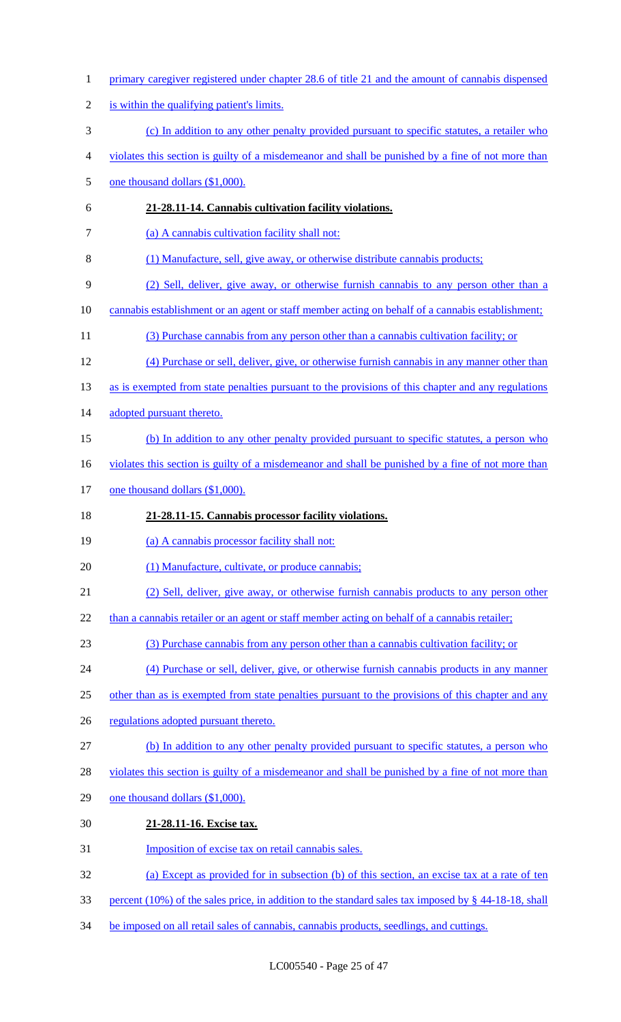primary caregiver registered under chapter 28.6 of title 21 and the amount of cannabis dispensed is within the qualifying patient's limits. (c) In addition to any other penalty provided pursuant to specific statutes, a retailer who violates this section is guilty of a misdemeanor and shall be punished by a fine of not more than 5 one thousand dollars (\$1,000). **21-28.11-14. Cannabis cultivation facility violations.** 7 (a) A cannabis cultivation facility shall not: (1) Manufacture, sell, give away, or otherwise distribute cannabis products; (2) Sell, deliver, give away, or otherwise furnish cannabis to any person other than a cannabis establishment or an agent or staff member acting on behalf of a cannabis establishment; (3) Purchase cannabis from any person other than a cannabis cultivation facility; or (4) Purchase or sell, deliver, give, or otherwise furnish cannabis in any manner other than 13 as is exempted from state penalties pursuant to the provisions of this chapter and any regulations 14 adopted pursuant thereto. 15 (b) In addition to any other penalty provided pursuant to specific statutes, a person who 16 violates this section is guilty of a misdemeanor and shall be punished by a fine of not more than 17 one thousand dollars (\$1,000). **21-28.11-15. Cannabis processor facility violations.** 19 (a) A cannabis processor facility shall not: 20 (1) Manufacture, cultivate, or produce cannabis; (2) Sell, deliver, give away, or otherwise furnish cannabis products to any person other 22 than a cannabis retailer or an agent or staff member acting on behalf of a cannabis retailer; (3) Purchase cannabis from any person other than a cannabis cultivation facility; or (4) Purchase or sell, deliver, give, or otherwise furnish cannabis products in any manner 25 other than as is exempted from state penalties pursuant to the provisions of this chapter and any 26 regulations adopted pursuant thereto. (b) In addition to any other penalty provided pursuant to specific statutes, a person who violates this section is guilty of a misdemeanor and shall be punished by a fine of not more than one thousand dollars (\$1,000). **21-28.11-16. Excise tax.** Imposition of excise tax on retail cannabis sales. (a) Except as provided for in subsection (b) of this section, an excise tax at a rate of ten percent (10%) of the sales price, in addition to the standard sales tax imposed by § 44-18-18, shall 34 be imposed on all retail sales of cannabis, cannabis products, seedlings, and cuttings.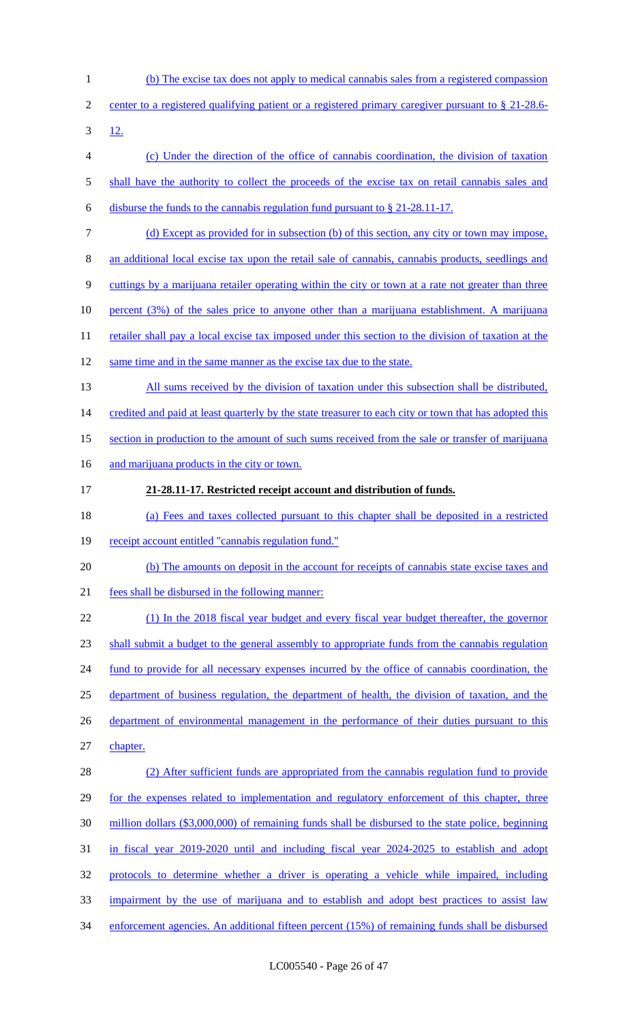(b) The excise tax does not apply to medical cannabis sales from a registered compassion 2 center to a registered qualifying patient or a registered primary caregiver pursuant to § 21-28.6- $3 \frac{12}{.}$  (c) Under the direction of the office of cannabis coordination, the division of taxation 5 shall have the authority to collect the proceeds of the excise tax on retail cannabis sales and disburse the funds to the cannabis regulation fund pursuant to § 21-28.11-17. (d) Except as provided for in subsection (b) of this section, any city or town may impose, an additional local excise tax upon the retail sale of cannabis, cannabis products, seedlings and cuttings by a marijuana retailer operating within the city or town at a rate not greater than three percent (3%) of the sales price to anyone other than a marijuana establishment. A marijuana 11 retailer shall pay a local excise tax imposed under this section to the division of taxation at the 12 same time and in the same manner as the excise tax due to the state. 13 All sums received by the division of taxation under this subsection shall be distributed, 14 credited and paid at least quarterly by the state treasurer to each city or town that has adopted this section in production to the amount of such sums received from the sale or transfer of marijuana 16 and marijuana products in the city or town. **21-28.11-17. Restricted receipt account and distribution of funds.** (a) Fees and taxes collected pursuant to this chapter shall be deposited in a restricted 19 receipt account entitled "cannabis regulation fund." (b) The amounts on deposit in the account for receipts of cannabis state excise taxes and fees shall be disbursed in the following manner: (1) In the 2018 fiscal year budget and every fiscal year budget thereafter, the governor shall submit a budget to the general assembly to appropriate funds from the cannabis regulation 24 fund to provide for all necessary expenses incurred by the office of cannabis coordination, the department of business regulation, the department of health, the division of taxation, and the 26 department of environmental management in the performance of their duties pursuant to this chapter. 28 (2) After sufficient funds are appropriated from the cannabis regulation fund to provide 29 for the expenses related to implementation and regulatory enforcement of this chapter, three million dollars (\$3,000,000) of remaining funds shall be disbursed to the state police, beginning in fiscal year 2019-2020 until and including fiscal year 2024-2025 to establish and adopt protocols to determine whether a driver is operating a vehicle while impaired, including impairment by the use of marijuana and to establish and adopt best practices to assist law enforcement agencies. An additional fifteen percent (15%) of remaining funds shall be disbursed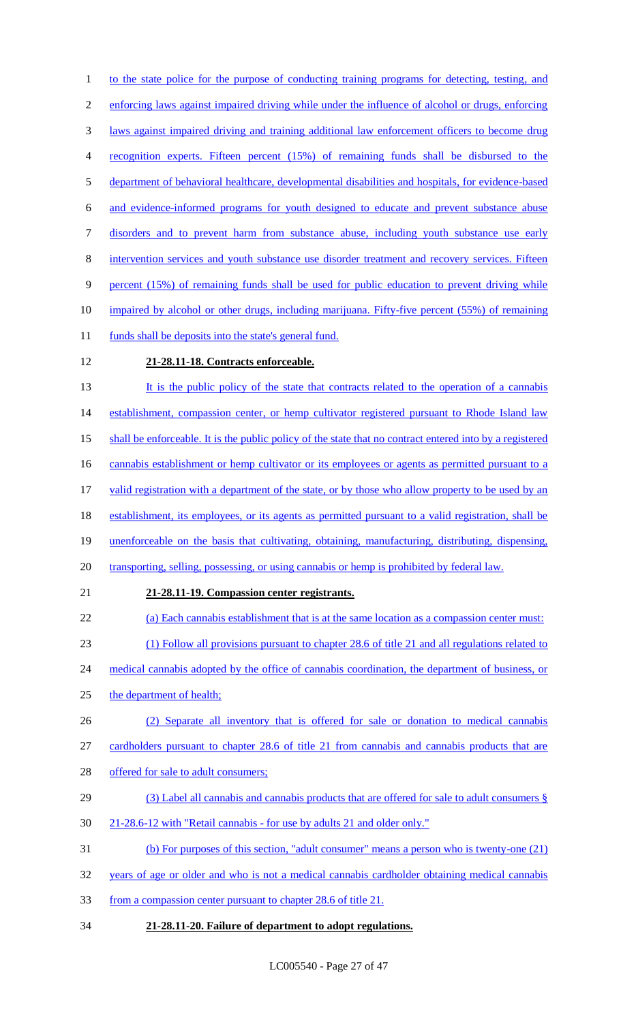1 to the state police for the purpose of conducting training programs for detecting, testing, and enforcing laws against impaired driving while under the influence of alcohol or drugs, enforcing laws against impaired driving and training additional law enforcement officers to become drug recognition experts. Fifteen percent (15%) of remaining funds shall be disbursed to the department of behavioral healthcare, developmental disabilities and hospitals, for evidence-based and evidence-informed programs for youth designed to educate and prevent substance abuse disorders and to prevent harm from substance abuse, including youth substance use early intervention services and youth substance use disorder treatment and recovery services. Fifteen percent (15%) of remaining funds shall be used for public education to prevent driving while impaired by alcohol or other drugs, including marijuana. Fifty-five percent (55%) of remaining 11 funds shall be deposits into the state's general fund. **21-28.11-18. Contracts enforceable.** 13 It is the public policy of the state that contracts related to the operation of a cannabis 14 establishment, compassion center, or hemp cultivator registered pursuant to Rhode Island law 15 shall be enforceable. It is the public policy of the state that no contract entered into by a registered 16 cannabis establishment or hemp cultivator or its employees or agents as permitted pursuant to a valid registration with a department of the state, or by those who allow property to be used by an establishment, its employees, or its agents as permitted pursuant to a valid registration, shall be unenforceable on the basis that cultivating, obtaining, manufacturing, distributing, dispensing, 20 transporting, selling, possessing, or using cannabis or hemp is prohibited by federal law. **21-28.11-19. Compassion center registrants.** (a) Each cannabis establishment that is at the same location as a compassion center must: (1) Follow all provisions pursuant to chapter 28.6 of title 21 and all regulations related to 24 medical cannabis adopted by the office of cannabis coordination, the department of business, or the department of health; (2) Separate all inventory that is offered for sale or donation to medical cannabis 27 cardholders pursuant to chapter 28.6 of title 21 from cannabis and cannabis products that are 28 offered for sale to adult consumers; (3) Label all cannabis and cannabis products that are offered for sale to adult consumers § 21-28.6-12 with "Retail cannabis - for use by adults 21 and older only." (b) For purposes of this section, "adult consumer" means a person who is twenty-one (21) years of age or older and who is not a medical cannabis cardholder obtaining medical cannabis from a compassion center pursuant to chapter 28.6 of title 21. **21-28.11-20. Failure of department to adopt regulations.**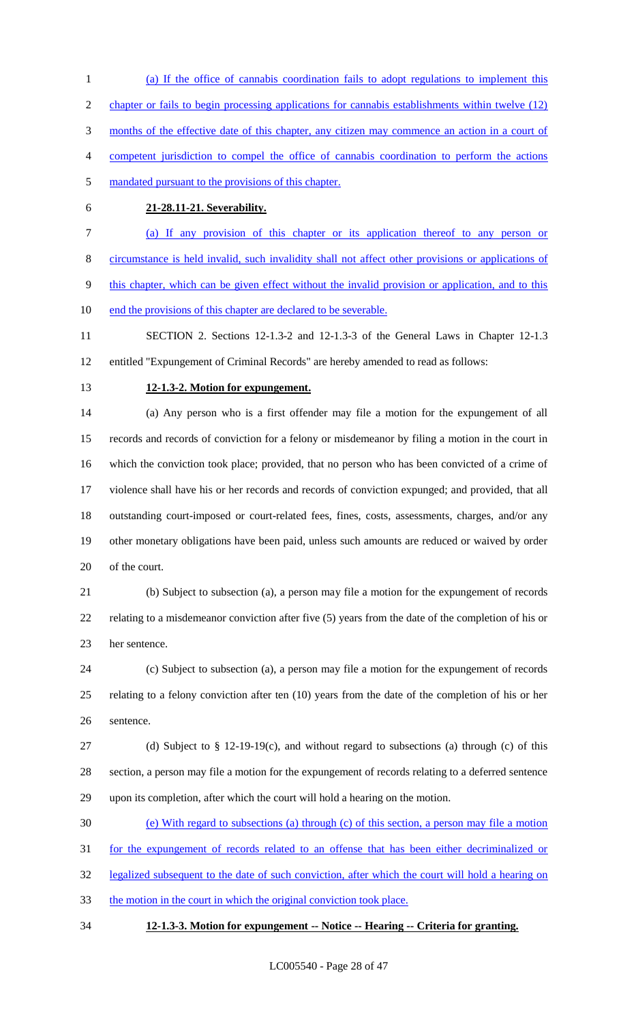(a) If the office of cannabis coordination fails to adopt regulations to implement this 2 chapter or fails to begin processing applications for cannabis establishments within twelve (12) months of the effective date of this chapter, any citizen may commence an action in a court of competent jurisdiction to compel the office of cannabis coordination to perform the actions mandated pursuant to the provisions of this chapter.

## **21-28.11-21. Severability.**

 (a) If any provision of this chapter or its application thereof to any person or circumstance is held invalid, such invalidity shall not affect other provisions or applications of

this chapter, which can be given effect without the invalid provision or application, and to this

end the provisions of this chapter are declared to be severable.

 SECTION 2. Sections 12-1.3-2 and 12-1.3-3 of the General Laws in Chapter 12-1.3 entitled "Expungement of Criminal Records" are hereby amended to read as follows:

### **12-1.3-2. Motion for expungement.**

 (a) Any person who is a first offender may file a motion for the expungement of all records and records of conviction for a felony or misdemeanor by filing a motion in the court in which the conviction took place; provided, that no person who has been convicted of a crime of violence shall have his or her records and records of conviction expunged; and provided, that all outstanding court-imposed or court-related fees, fines, costs, assessments, charges, and/or any other monetary obligations have been paid, unless such amounts are reduced or waived by order of the court.

 (b) Subject to subsection (a), a person may file a motion for the expungement of records relating to a misdemeanor conviction after five (5) years from the date of the completion of his or her sentence.

 (c) Subject to subsection (a), a person may file a motion for the expungement of records relating to a felony conviction after ten (10) years from the date of the completion of his or her sentence.

27 (d) Subject to  $\S$  12-19-19(c), and without regard to subsections (a) through (c) of this section, a person may file a motion for the expungement of records relating to a deferred sentence upon its completion, after which the court will hold a hearing on the motion.

(e) With regard to subsections (a) through (c) of this section, a person may file a motion

for the expungement of records related to an offense that has been either decriminalized or

32 legalized subsequent to the date of such conviction, after which the court will hold a hearing on

33 the motion in the court in which the original conviction took place.

## **12-1.3-3. Motion for expungement -- Notice -- Hearing -- Criteria for granting.**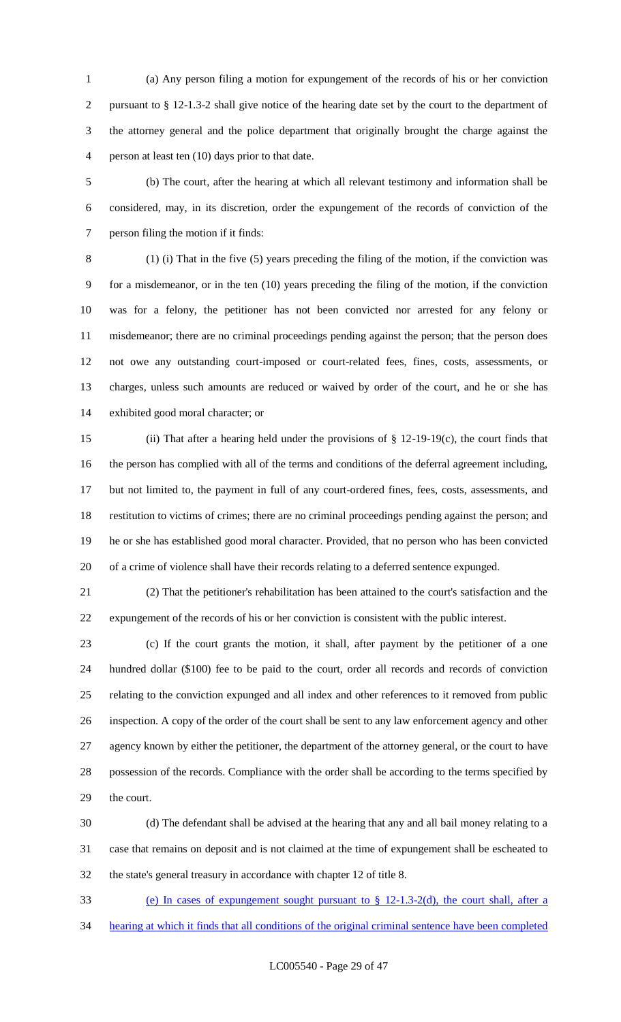(a) Any person filing a motion for expungement of the records of his or her conviction pursuant to § 12-1.3-2 shall give notice of the hearing date set by the court to the department of the attorney general and the police department that originally brought the charge against the person at least ten (10) days prior to that date.

 (b) The court, after the hearing at which all relevant testimony and information shall be considered, may, in its discretion, order the expungement of the records of conviction of the person filing the motion if it finds:

 (1) (i) That in the five (5) years preceding the filing of the motion, if the conviction was for a misdemeanor, or in the ten (10) years preceding the filing of the motion, if the conviction was for a felony, the petitioner has not been convicted nor arrested for any felony or misdemeanor; there are no criminal proceedings pending against the person; that the person does not owe any outstanding court-imposed or court-related fees, fines, costs, assessments, or charges, unless such amounts are reduced or waived by order of the court, and he or she has exhibited good moral character; or

 (ii) That after a hearing held under the provisions of § 12-19-19(c), the court finds that the person has complied with all of the terms and conditions of the deferral agreement including, but not limited to, the payment in full of any court-ordered fines, fees, costs, assessments, and restitution to victims of crimes; there are no criminal proceedings pending against the person; and he or she has established good moral character. Provided, that no person who has been convicted of a crime of violence shall have their records relating to a deferred sentence expunged.

 (2) That the petitioner's rehabilitation has been attained to the court's satisfaction and the expungement of the records of his or her conviction is consistent with the public interest.

 (c) If the court grants the motion, it shall, after payment by the petitioner of a one hundred dollar (\$100) fee to be paid to the court, order all records and records of conviction relating to the conviction expunged and all index and other references to it removed from public inspection. A copy of the order of the court shall be sent to any law enforcement agency and other agency known by either the petitioner, the department of the attorney general, or the court to have possession of the records. Compliance with the order shall be according to the terms specified by the court.

 (d) The defendant shall be advised at the hearing that any and all bail money relating to a case that remains on deposit and is not claimed at the time of expungement shall be escheated to the state's general treasury in accordance with chapter 12 of title 8.

(e) In cases of expungement sought pursuant to § 12-1.3-2(d), the court shall, after a

hearing at which it finds that all conditions of the original criminal sentence have been completed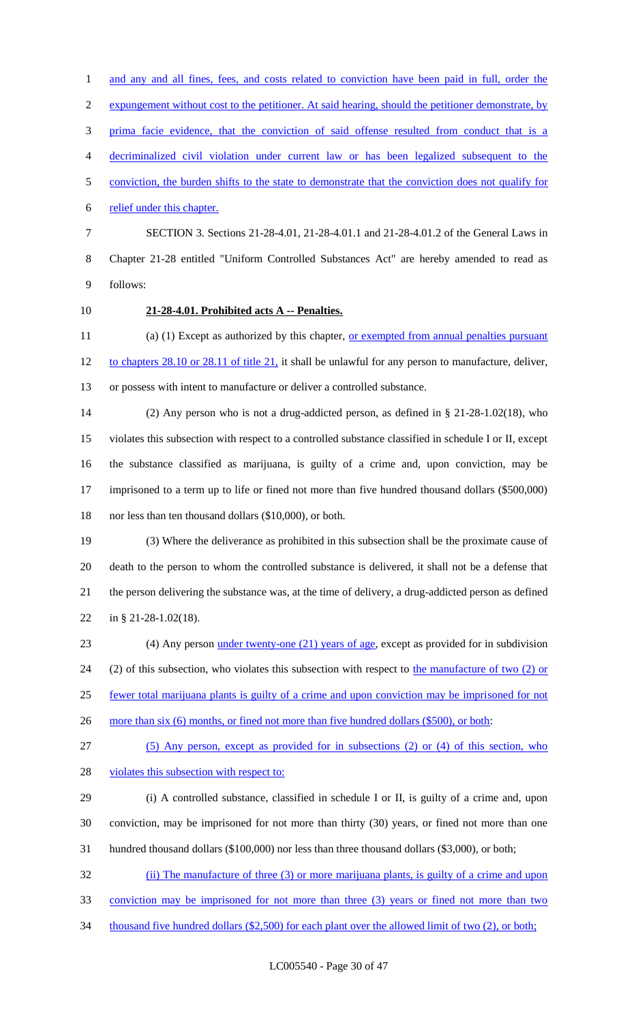expungement without cost to the petitioner. At said hearing, should the petitioner demonstrate, by prima facie evidence, that the conviction of said offense resulted from conduct that is a decriminalized civil violation under current law or has been legalized subsequent to the conviction, the burden shifts to the state to demonstrate that the conviction does not qualify for relief under this chapter.

1 and any and all fines, fees, and costs related to conviction have been paid in full, order the

 SECTION 3. Sections 21-28-4.01, 21-28-4.01.1 and 21-28-4.01.2 of the General Laws in Chapter 21-28 entitled "Uniform Controlled Substances Act" are hereby amended to read as follows:

## **21-28-4.01. Prohibited acts A -- Penalties.**

11 (a) (1) Except as authorized by this chapter, or exempted from annual penalties pursuant to chapters 28.10 or 28.11 of title 21, it shall be unlawful for any person to manufacture, deliver, or possess with intent to manufacture or deliver a controlled substance.

 (2) Any person who is not a drug-addicted person, as defined in § 21-28-1.02(18), who violates this subsection with respect to a controlled substance classified in schedule I or II, except the substance classified as marijuana, is guilty of a crime and, upon conviction, may be imprisoned to a term up to life or fined not more than five hundred thousand dollars (\$500,000) nor less than ten thousand dollars (\$10,000), or both.

 (3) Where the deliverance as prohibited in this subsection shall be the proximate cause of death to the person to whom the controlled substance is delivered, it shall not be a defense that the person delivering the substance was, at the time of delivery, a drug-addicted person as defined in § 21-28-1.02(18).

 (4) Any person under twenty-one (21) years of age, except as provided for in subdivision 24 (2) of this subsection, who violates this subsection with respect to the manufacture of two (2) or fewer total marijuana plants is guilty of a crime and upon conviction may be imprisoned for not 26 more than six (6) months, or fined not more than five hundred dollars (\$500), or both:

(5) Any person, except as provided for in subsections (2) or (4) of this section, who

28 violates this subsection with respect to:

 (i) A controlled substance, classified in schedule I or II, is guilty of a crime and, upon conviction, may be imprisoned for not more than thirty (30) years, or fined not more than one hundred thousand dollars (\$100,000) nor less than three thousand dollars (\$3,000), or both;

(ii) The manufacture of three (3) or more marijuana plants, is guilty of a crime and upon

conviction may be imprisoned for not more than three (3) years or fined not more than two

34 thousand five hundred dollars (\$2,500) for each plant over the allowed limit of two (2), or both;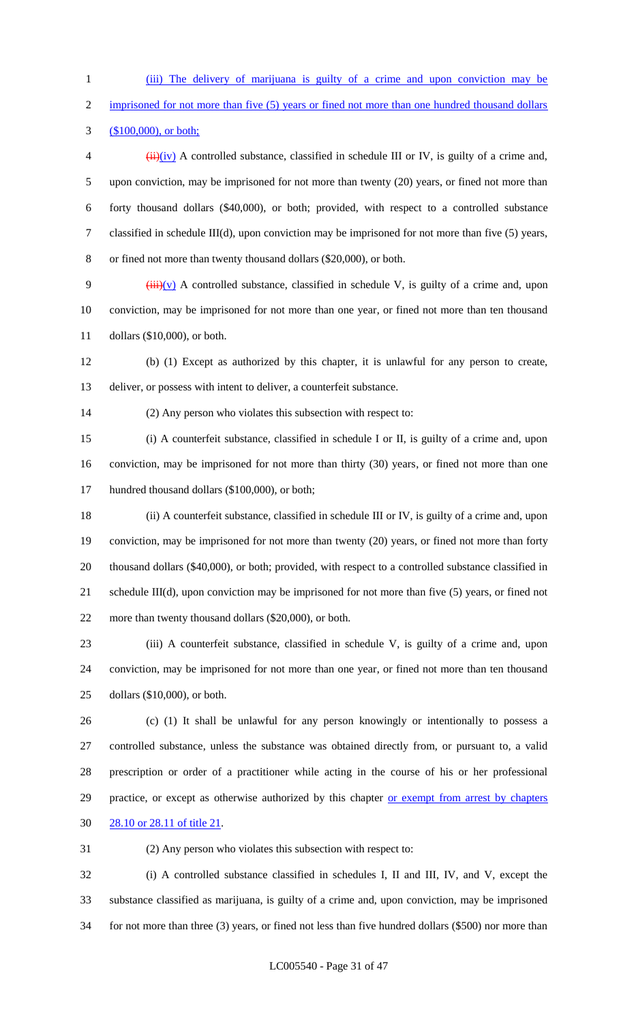(iii) The delivery of marijuana is guilty of a crime and upon conviction may be

2 imprisoned for not more than five (5) years or fined not more than one hundred thousand dollars

(\$100,000), or both;

 $\frac{4}{11}(iv)$  A controlled substance, classified in schedule III or IV, is guilty of a crime and, upon conviction, may be imprisoned for not more than twenty (20) years, or fined not more than forty thousand dollars (\$40,000), or both; provided, with respect to a controlled substance classified in schedule III(d), upon conviction may be imprisoned for not more than five (5) years, or fined not more than twenty thousand dollars (\$20,000), or both.

9  $(iii)(v)$  A controlled substance, classified in schedule V, is guilty of a crime and, upon conviction, may be imprisoned for not more than one year, or fined not more than ten thousand dollars (\$10,000), or both.

 (b) (1) Except as authorized by this chapter, it is unlawful for any person to create, deliver, or possess with intent to deliver, a counterfeit substance.

(2) Any person who violates this subsection with respect to:

 (i) A counterfeit substance, classified in schedule I or II, is guilty of a crime and, upon conviction, may be imprisoned for not more than thirty (30) years, or fined not more than one 17 hundred thousand dollars (\$100,000), or both;

 (ii) A counterfeit substance, classified in schedule III or IV, is guilty of a crime and, upon conviction, may be imprisoned for not more than twenty (20) years, or fined not more than forty thousand dollars (\$40,000), or both; provided, with respect to a controlled substance classified in schedule III(d), upon conviction may be imprisoned for not more than five (5) years, or fined not more than twenty thousand dollars (\$20,000), or both.

 (iii) A counterfeit substance, classified in schedule V, is guilty of a crime and, upon conviction, may be imprisoned for not more than one year, or fined not more than ten thousand dollars (\$10,000), or both.

 (c) (1) It shall be unlawful for any person knowingly or intentionally to possess a controlled substance, unless the substance was obtained directly from, or pursuant to, a valid prescription or order of a practitioner while acting in the course of his or her professional 29 practice, or except as otherwise authorized by this chapter or exempt from arrest by chapters 28.10 or 28.11 of title 21.

(2) Any person who violates this subsection with respect to:

 (i) A controlled substance classified in schedules I, II and III, IV, and V, except the substance classified as marijuana, is guilty of a crime and, upon conviction, may be imprisoned for not more than three (3) years, or fined not less than five hundred dollars (\$500) nor more than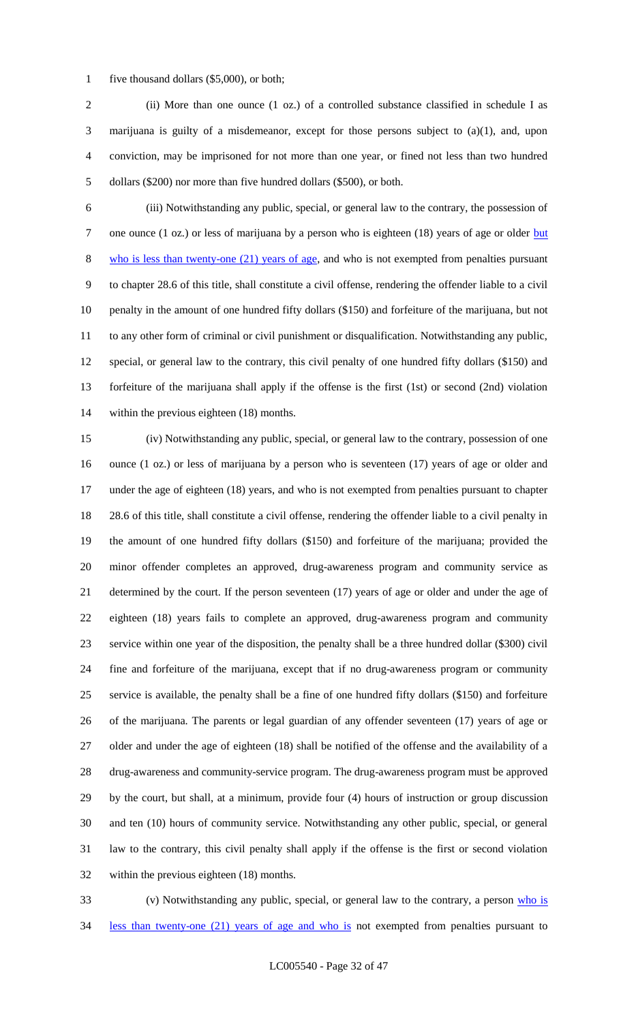1 five thousand dollars (\$5,000), or both;

 (ii) More than one ounce (1 oz.) of a controlled substance classified in schedule I as marijuana is guilty of a misdemeanor, except for those persons subject to (a)(1), and, upon conviction, may be imprisoned for not more than one year, or fined not less than two hundred dollars (\$200) nor more than five hundred dollars (\$500), or both.

 (iii) Notwithstanding any public, special, or general law to the contrary, the possession of 7 one ounce (1 oz.) or less of marijuana by a person who is eighteen (18) years of age or older but who is less than twenty-one (21) years of age, and who is not exempted from penalties pursuant to chapter 28.6 of this title, shall constitute a civil offense, rendering the offender liable to a civil penalty in the amount of one hundred fifty dollars (\$150) and forfeiture of the marijuana, but not to any other form of criminal or civil punishment or disqualification. Notwithstanding any public, special, or general law to the contrary, this civil penalty of one hundred fifty dollars (\$150) and forfeiture of the marijuana shall apply if the offense is the first (1st) or second (2nd) violation within the previous eighteen (18) months.

 (iv) Notwithstanding any public, special, or general law to the contrary, possession of one ounce (1 oz.) or less of marijuana by a person who is seventeen (17) years of age or older and 17 under the age of eighteen (18) years, and who is not exempted from penalties pursuant to chapter 28.6 of this title, shall constitute a civil offense, rendering the offender liable to a civil penalty in the amount of one hundred fifty dollars (\$150) and forfeiture of the marijuana; provided the minor offender completes an approved, drug-awareness program and community service as determined by the court. If the person seventeen (17) years of age or older and under the age of eighteen (18) years fails to complete an approved, drug-awareness program and community service within one year of the disposition, the penalty shall be a three hundred dollar (\$300) civil fine and forfeiture of the marijuana, except that if no drug-awareness program or community service is available, the penalty shall be a fine of one hundred fifty dollars (\$150) and forfeiture of the marijuana. The parents or legal guardian of any offender seventeen (17) years of age or older and under the age of eighteen (18) shall be notified of the offense and the availability of a drug-awareness and community-service program. The drug-awareness program must be approved by the court, but shall, at a minimum, provide four (4) hours of instruction or group discussion and ten (10) hours of community service. Notwithstanding any other public, special, or general law to the contrary, this civil penalty shall apply if the offense is the first or second violation within the previous eighteen (18) months.

33 (v) Notwithstanding any public, special, or general law to the contrary, a person who is 34 less than twenty-one (21) years of age and who is not exempted from penalties pursuant to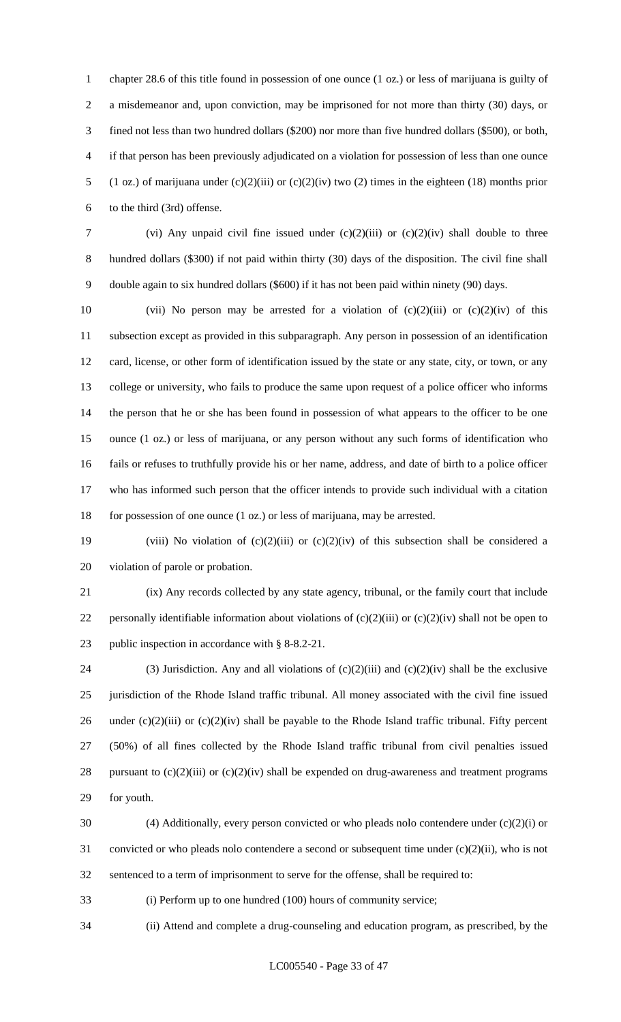chapter 28.6 of this title found in possession of one ounce (1 oz.) or less of marijuana is guilty of a misdemeanor and, upon conviction, may be imprisoned for not more than thirty (30) days, or fined not less than two hundred dollars (\$200) nor more than five hundred dollars (\$500), or both, if that person has been previously adjudicated on a violation for possession of less than one ounce (1 oz.) of marijuana under (c)(2)(iii) or (c)(2)(iv) two (2) times in the eighteen (18) months prior to the third (3rd) offense.

 (vi) Any unpaid civil fine issued under (c)(2)(iii) or (c)(2)(iv) shall double to three hundred dollars (\$300) if not paid within thirty (30) days of the disposition. The civil fine shall double again to six hundred dollars (\$600) if it has not been paid within ninety (90) days.

10 (vii) No person may be arrested for a violation of  $(c)(2)(iii)$  or  $(c)(2)(iv)$  of this subsection except as provided in this subparagraph. Any person in possession of an identification 12 card, license, or other form of identification issued by the state or any state, city, or town, or any college or university, who fails to produce the same upon request of a police officer who informs the person that he or she has been found in possession of what appears to the officer to be one ounce (1 oz.) or less of marijuana, or any person without any such forms of identification who fails or refuses to truthfully provide his or her name, address, and date of birth to a police officer who has informed such person that the officer intends to provide such individual with a citation for possession of one ounce (1 oz.) or less of marijuana, may be arrested.

19 (viii) No violation of  $(c)(2)(iii)$  or  $(c)(2)(iv)$  of this subsection shall be considered a violation of parole or probation.

 (ix) Any records collected by any state agency, tribunal, or the family court that include 22 personally identifiable information about violations of  $(c)(2)(iii)$  or  $(c)(2)(iv)$  shall not be open to public inspection in accordance with § 8-8.2-21.

24 (3) Jurisdiction. Any and all violations of  $(c)(2)(iii)$  and  $(c)(2)(iv)$  shall be the exclusive jurisdiction of the Rhode Island traffic tribunal. All money associated with the civil fine issued 26 under  $(c)(2)(iii)$  or  $(c)(2)(iv)$  shall be payable to the Rhode Island traffic tribunal. Fifty percent (50%) of all fines collected by the Rhode Island traffic tribunal from civil penalties issued 28 pursuant to (c)(2)(iii) or (c)(2)(iv) shall be expended on drug-awareness and treatment programs for youth.

 (4) Additionally, every person convicted or who pleads nolo contendere under (c)(2)(i) or convicted or who pleads nolo contendere a second or subsequent time under (c)(2)(ii), who is not sentenced to a term of imprisonment to serve for the offense, shall be required to:

(i) Perform up to one hundred (100) hours of community service;

(ii) Attend and complete a drug-counseling and education program, as prescribed, by the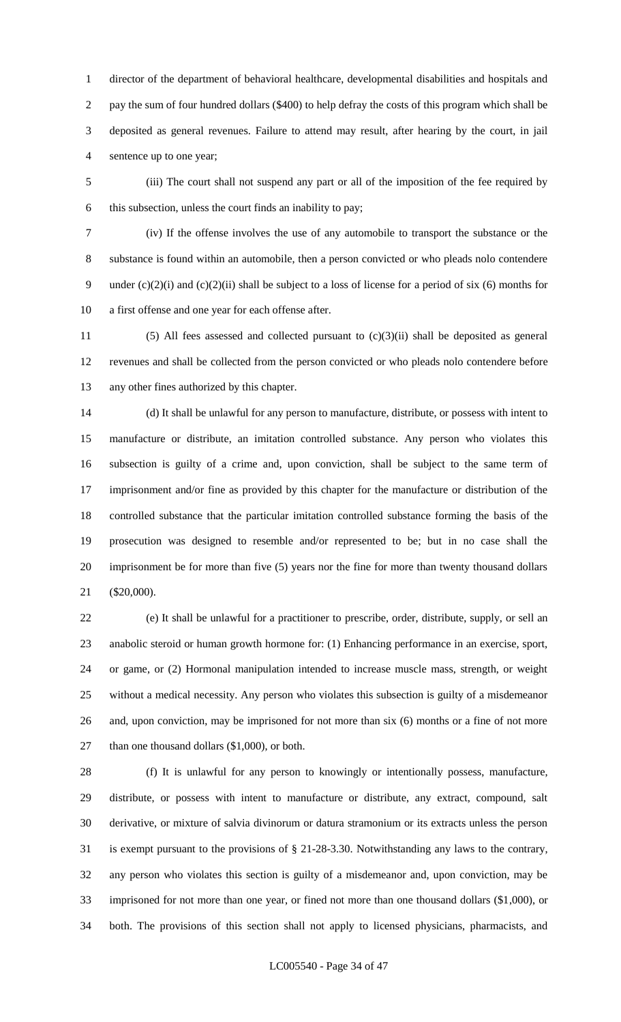director of the department of behavioral healthcare, developmental disabilities and hospitals and pay the sum of four hundred dollars (\$400) to help defray the costs of this program which shall be deposited as general revenues. Failure to attend may result, after hearing by the court, in jail sentence up to one year;

 (iii) The court shall not suspend any part or all of the imposition of the fee required by this subsection, unless the court finds an inability to pay;

 (iv) If the offense involves the use of any automobile to transport the substance or the substance is found within an automobile, then a person convicted or who pleads nolo contendere under (c)(2)(i) and (c)(2)(ii) shall be subject to a loss of license for a period of six (6) months for a first offense and one year for each offense after.

11 (5) All fees assessed and collected pursuant to  $(c)(3)(ii)$  shall be deposited as general revenues and shall be collected from the person convicted or who pleads nolo contendere before any other fines authorized by this chapter.

 (d) It shall be unlawful for any person to manufacture, distribute, or possess with intent to manufacture or distribute, an imitation controlled substance. Any person who violates this subsection is guilty of a crime and, upon conviction, shall be subject to the same term of imprisonment and/or fine as provided by this chapter for the manufacture or distribution of the controlled substance that the particular imitation controlled substance forming the basis of the prosecution was designed to resemble and/or represented to be; but in no case shall the imprisonment be for more than five (5) years nor the fine for more than twenty thousand dollars (\$20,000).

 (e) It shall be unlawful for a practitioner to prescribe, order, distribute, supply, or sell an anabolic steroid or human growth hormone for: (1) Enhancing performance in an exercise, sport, or game, or (2) Hormonal manipulation intended to increase muscle mass, strength, or weight without a medical necessity. Any person who violates this subsection is guilty of a misdemeanor and, upon conviction, may be imprisoned for not more than six (6) months or a fine of not more 27 than one thousand dollars (\$1,000), or both.

 (f) It is unlawful for any person to knowingly or intentionally possess, manufacture, distribute, or possess with intent to manufacture or distribute, any extract, compound, salt derivative, or mixture of salvia divinorum or datura stramonium or its extracts unless the person is exempt pursuant to the provisions of § 21-28-3.30. Notwithstanding any laws to the contrary, any person who violates this section is guilty of a misdemeanor and, upon conviction, may be imprisoned for not more than one year, or fined not more than one thousand dollars (\$1,000), or both. The provisions of this section shall not apply to licensed physicians, pharmacists, and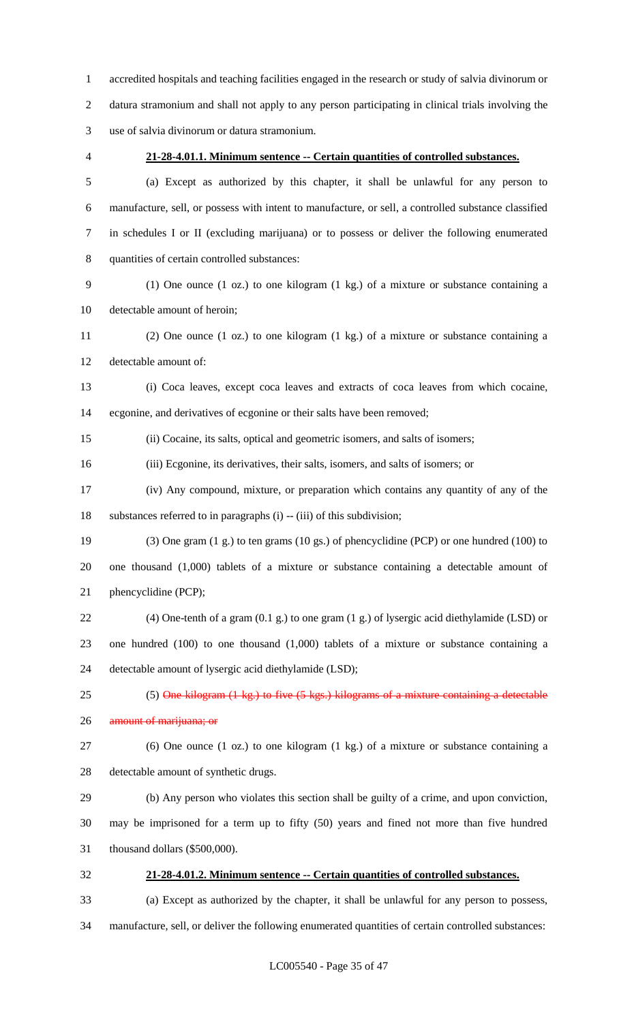accredited hospitals and teaching facilities engaged in the research or study of salvia divinorum or datura stramonium and shall not apply to any person participating in clinical trials involving the use of salvia divinorum or datura stramonium.

### **21-28-4.01.1. Minimum sentence -- Certain quantities of controlled substances.**

 (a) Except as authorized by this chapter, it shall be unlawful for any person to manufacture, sell, or possess with intent to manufacture, or sell, a controlled substance classified in schedules I or II (excluding marijuana) or to possess or deliver the following enumerated quantities of certain controlled substances:

 (1) One ounce (1 oz.) to one kilogram (1 kg.) of a mixture or substance containing a detectable amount of heroin;

 (2) One ounce (1 oz.) to one kilogram (1 kg.) of a mixture or substance containing a detectable amount of:

 (i) Coca leaves, except coca leaves and extracts of coca leaves from which cocaine, ecgonine, and derivatives of ecgonine or their salts have been removed;

(ii) Cocaine, its salts, optical and geometric isomers, and salts of isomers;

(iii) Ecgonine, its derivatives, their salts, isomers, and salts of isomers; or

 (iv) Any compound, mixture, or preparation which contains any quantity of any of the substances referred to in paragraphs (i) -- (iii) of this subdivision;

 (3) One gram (1 g.) to ten grams (10 gs.) of phencyclidine (PCP) or one hundred (100) to one thousand (1,000) tablets of a mixture or substance containing a detectable amount of phencyclidine (PCP);

 (4) One-tenth of a gram (0.1 g.) to one gram (1 g.) of lysergic acid diethylamide (LSD) or one hundred (100) to one thousand (1,000) tablets of a mixture or substance containing a detectable amount of lysergic acid diethylamide (LSD);

# 25 (5) One kilogram (1 kg.) to five (5 kgs.) kilograms of a mixture containing a detectable

26 amount of marijuana; or

 (6) One ounce (1 oz.) to one kilogram (1 kg.) of a mixture or substance containing a detectable amount of synthetic drugs.

(b) Any person who violates this section shall be guilty of a crime, and upon conviction,

may be imprisoned for a term up to fifty (50) years and fined not more than five hundred

thousand dollars (\$500,000).

## **21-28-4.01.2. Minimum sentence -- Certain quantities of controlled substances.**

(a) Except as authorized by the chapter, it shall be unlawful for any person to possess,

manufacture, sell, or deliver the following enumerated quantities of certain controlled substances: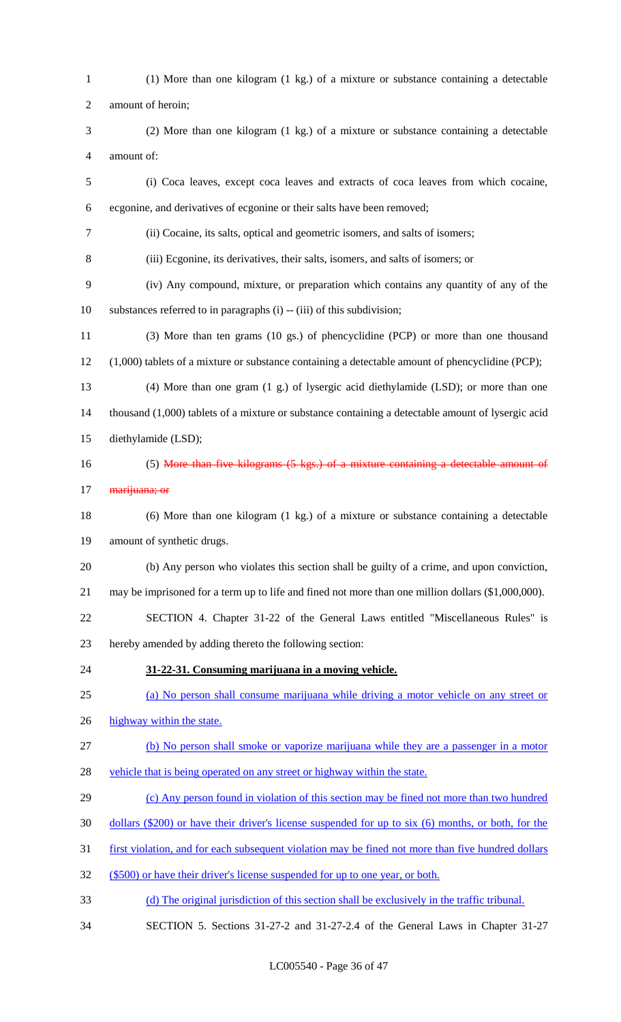(1) More than one kilogram (1 kg.) of a mixture or substance containing a detectable amount of heroin; (2) More than one kilogram (1 kg.) of a mixture or substance containing a detectable amount of: (i) Coca leaves, except coca leaves and extracts of coca leaves from which cocaine, ecgonine, and derivatives of ecgonine or their salts have been removed; (ii) Cocaine, its salts, optical and geometric isomers, and salts of isomers; (iii) Ecgonine, its derivatives, their salts, isomers, and salts of isomers; or (iv) Any compound, mixture, or preparation which contains any quantity of any of the substances referred to in paragraphs (i) -- (iii) of this subdivision; (3) More than ten grams (10 gs.) of phencyclidine (PCP) or more than one thousand (1,000) tablets of a mixture or substance containing a detectable amount of phencyclidine (PCP); (4) More than one gram (1 g.) of lysergic acid diethylamide (LSD); or more than one thousand (1,000) tablets of a mixture or substance containing a detectable amount of lysergic acid diethylamide (LSD); 16 (5) More than five kilograms (5 kgs.) of a mixture containing a detectable amount of 17 <del>marijuana; or</del> (6) More than one kilogram (1 kg.) of a mixture or substance containing a detectable amount of synthetic drugs. (b) Any person who violates this section shall be guilty of a crime, and upon conviction, may be imprisoned for a term up to life and fined not more than one million dollars (\$1,000,000). SECTION 4. Chapter 31-22 of the General Laws entitled "Miscellaneous Rules" is hereby amended by adding thereto the following section: **31-22-31. Consuming marijuana in a moving vehicle.** (a) No person shall consume marijuana while driving a motor vehicle on any street or 26 highway within the state. (b) No person shall smoke or vaporize marijuana while they are a passenger in a motor 28 vehicle that is being operated on any street or highway within the state. (c) Any person found in violation of this section may be fined not more than two hundred dollars (\$200) or have their driver's license suspended for up to six (6) months, or both, for the first violation, and for each subsequent violation may be fined not more than five hundred dollars (\$500) or have their driver's license suspended for up to one year, or both. (d) The original jurisdiction of this section shall be exclusively in the traffic tribunal. SECTION 5. Sections 31-27-2 and 31-27-2.4 of the General Laws in Chapter 31-27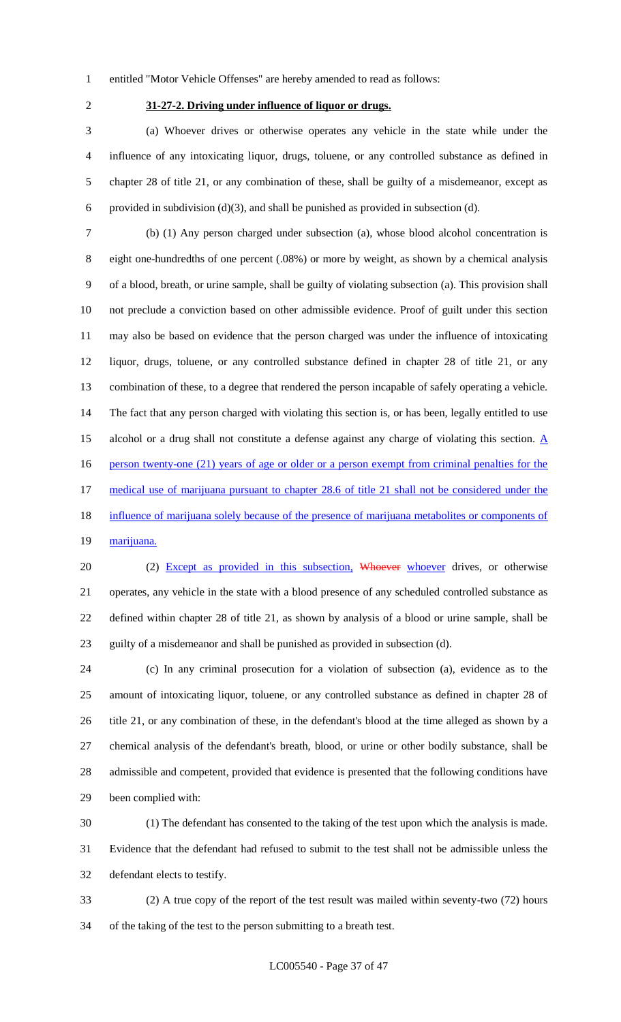entitled "Motor Vehicle Offenses" are hereby amended to read as follows:

## **31-27-2. Driving under influence of liquor or drugs.**

 (a) Whoever drives or otherwise operates any vehicle in the state while under the influence of any intoxicating liquor, drugs, toluene, or any controlled substance as defined in chapter 28 of title 21, or any combination of these, shall be guilty of a misdemeanor, except as 6 provided in subdivision (d)(3), and shall be punished as provided in subsection (d).

 (b) (1) Any person charged under subsection (a), whose blood alcohol concentration is eight one-hundredths of one percent (.08%) or more by weight, as shown by a chemical analysis of a blood, breath, or urine sample, shall be guilty of violating subsection (a). This provision shall not preclude a conviction based on other admissible evidence. Proof of guilt under this section may also be based on evidence that the person charged was under the influence of intoxicating liquor, drugs, toluene, or any controlled substance defined in chapter 28 of title 21, or any combination of these, to a degree that rendered the person incapable of safely operating a vehicle. The fact that any person charged with violating this section is, or has been, legally entitled to use 15 alcohol or a drug shall not constitute a defense against any charge of violating this section.  $\underline{A}$ 16 person twenty-one (21) years of age or older or a person exempt from criminal penalties for the medical use of marijuana pursuant to chapter 28.6 of title 21 shall not be considered under the 18 influence of marijuana solely because of the presence of marijuana metabolites or components of 19 marijuana.

20 (2) Except as provided in this subsection, Whoever whoever drives, or otherwise operates, any vehicle in the state with a blood presence of any scheduled controlled substance as defined within chapter 28 of title 21, as shown by analysis of a blood or urine sample, shall be guilty of a misdemeanor and shall be punished as provided in subsection (d).

 (c) In any criminal prosecution for a violation of subsection (a), evidence as to the amount of intoxicating liquor, toluene, or any controlled substance as defined in chapter 28 of title 21, or any combination of these, in the defendant's blood at the time alleged as shown by a chemical analysis of the defendant's breath, blood, or urine or other bodily substance, shall be admissible and competent, provided that evidence is presented that the following conditions have been complied with:

 (1) The defendant has consented to the taking of the test upon which the analysis is made. Evidence that the defendant had refused to submit to the test shall not be admissible unless the defendant elects to testify.

 (2) A true copy of the report of the test result was mailed within seventy-two (72) hours of the taking of the test to the person submitting to a breath test.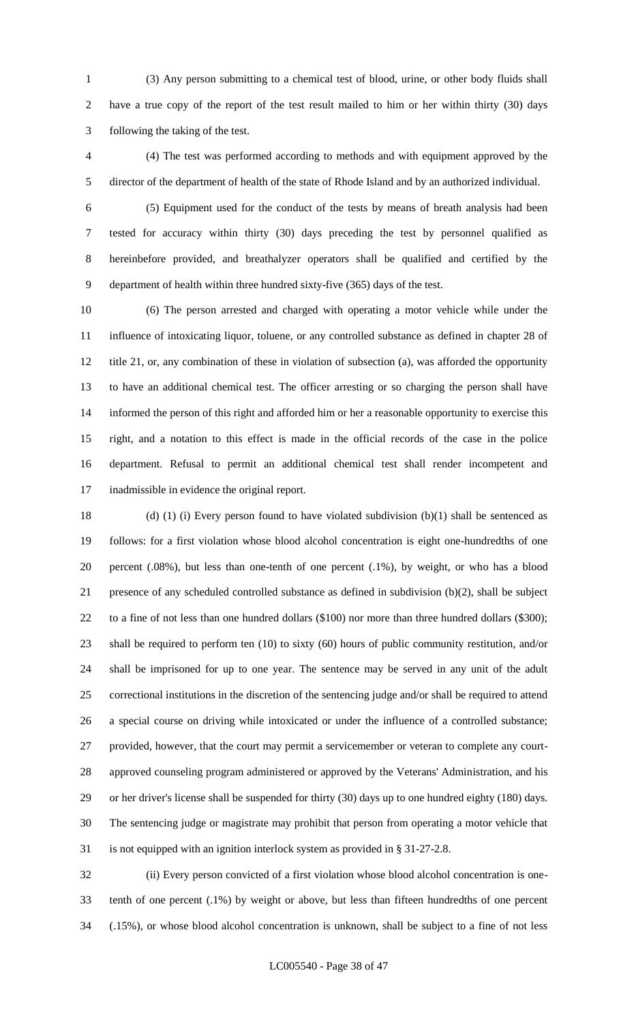(3) Any person submitting to a chemical test of blood, urine, or other body fluids shall have a true copy of the report of the test result mailed to him or her within thirty (30) days following the taking of the test.

 (4) The test was performed according to methods and with equipment approved by the director of the department of health of the state of Rhode Island and by an authorized individual.

 (5) Equipment used for the conduct of the tests by means of breath analysis had been tested for accuracy within thirty (30) days preceding the test by personnel qualified as hereinbefore provided, and breathalyzer operators shall be qualified and certified by the department of health within three hundred sixty-five (365) days of the test.

 (6) The person arrested and charged with operating a motor vehicle while under the influence of intoxicating liquor, toluene, or any controlled substance as defined in chapter 28 of title 21, or, any combination of these in violation of subsection (a), was afforded the opportunity to have an additional chemical test. The officer arresting or so charging the person shall have informed the person of this right and afforded him or her a reasonable opportunity to exercise this right, and a notation to this effect is made in the official records of the case in the police department. Refusal to permit an additional chemical test shall render incompetent and inadmissible in evidence the original report.

 (d) (1) (i) Every person found to have violated subdivision (b)(1) shall be sentenced as follows: for a first violation whose blood alcohol concentration is eight one-hundredths of one percent (.08%), but less than one-tenth of one percent (.1%), by weight, or who has a blood presence of any scheduled controlled substance as defined in subdivision (b)(2), shall be subject 22 to a fine of not less than one hundred dollars (\$100) nor more than three hundred dollars (\$300); shall be required to perform ten (10) to sixty (60) hours of public community restitution, and/or shall be imprisoned for up to one year. The sentence may be served in any unit of the adult correctional institutions in the discretion of the sentencing judge and/or shall be required to attend a special course on driving while intoxicated or under the influence of a controlled substance; provided, however, that the court may permit a servicemember or veteran to complete any court- approved counseling program administered or approved by the Veterans' Administration, and his or her driver's license shall be suspended for thirty (30) days up to one hundred eighty (180) days. The sentencing judge or magistrate may prohibit that person from operating a motor vehicle that is not equipped with an ignition interlock system as provided in § 31-27-2.8.

 (ii) Every person convicted of a first violation whose blood alcohol concentration is one- tenth of one percent (.1%) by weight or above, but less than fifteen hundredths of one percent (.15%), or whose blood alcohol concentration is unknown, shall be subject to a fine of not less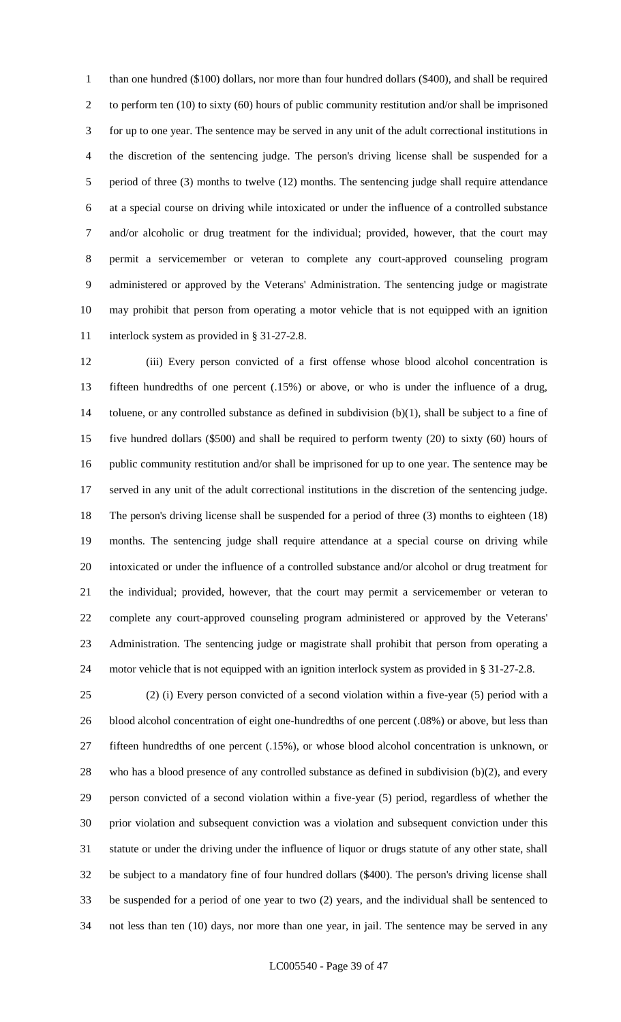than one hundred (\$100) dollars, nor more than four hundred dollars (\$400), and shall be required to perform ten (10) to sixty (60) hours of public community restitution and/or shall be imprisoned for up to one year. The sentence may be served in any unit of the adult correctional institutions in the discretion of the sentencing judge. The person's driving license shall be suspended for a period of three (3) months to twelve (12) months. The sentencing judge shall require attendance at a special course on driving while intoxicated or under the influence of a controlled substance and/or alcoholic or drug treatment for the individual; provided, however, that the court may permit a servicemember or veteran to complete any court-approved counseling program administered or approved by the Veterans' Administration. The sentencing judge or magistrate may prohibit that person from operating a motor vehicle that is not equipped with an ignition 11 interlock system as provided in § 31-27-2.8.

 (iii) Every person convicted of a first offense whose blood alcohol concentration is fifteen hundredths of one percent (.15%) or above, or who is under the influence of a drug, 14 toluene, or any controlled substance as defined in subdivision  $(b)(1)$ , shall be subject to a fine of five hundred dollars (\$500) and shall be required to perform twenty (20) to sixty (60) hours of public community restitution and/or shall be imprisoned for up to one year. The sentence may be served in any unit of the adult correctional institutions in the discretion of the sentencing judge. The person's driving license shall be suspended for a period of three (3) months to eighteen (18) months. The sentencing judge shall require attendance at a special course on driving while intoxicated or under the influence of a controlled substance and/or alcohol or drug treatment for the individual; provided, however, that the court may permit a servicemember or veteran to complete any court-approved counseling program administered or approved by the Veterans' Administration. The sentencing judge or magistrate shall prohibit that person from operating a motor vehicle that is not equipped with an ignition interlock system as provided in § 31-27-2.8.

 (2) (i) Every person convicted of a second violation within a five-year (5) period with a 26 blood alcohol concentration of eight one-hundredths of one percent (.08%) or above, but less than fifteen hundredths of one percent (.15%), or whose blood alcohol concentration is unknown, or who has a blood presence of any controlled substance as defined in subdivision (b)(2), and every person convicted of a second violation within a five-year (5) period, regardless of whether the prior violation and subsequent conviction was a violation and subsequent conviction under this statute or under the driving under the influence of liquor or drugs statute of any other state, shall be subject to a mandatory fine of four hundred dollars (\$400). The person's driving license shall be suspended for a period of one year to two (2) years, and the individual shall be sentenced to not less than ten (10) days, nor more than one year, in jail. The sentence may be served in any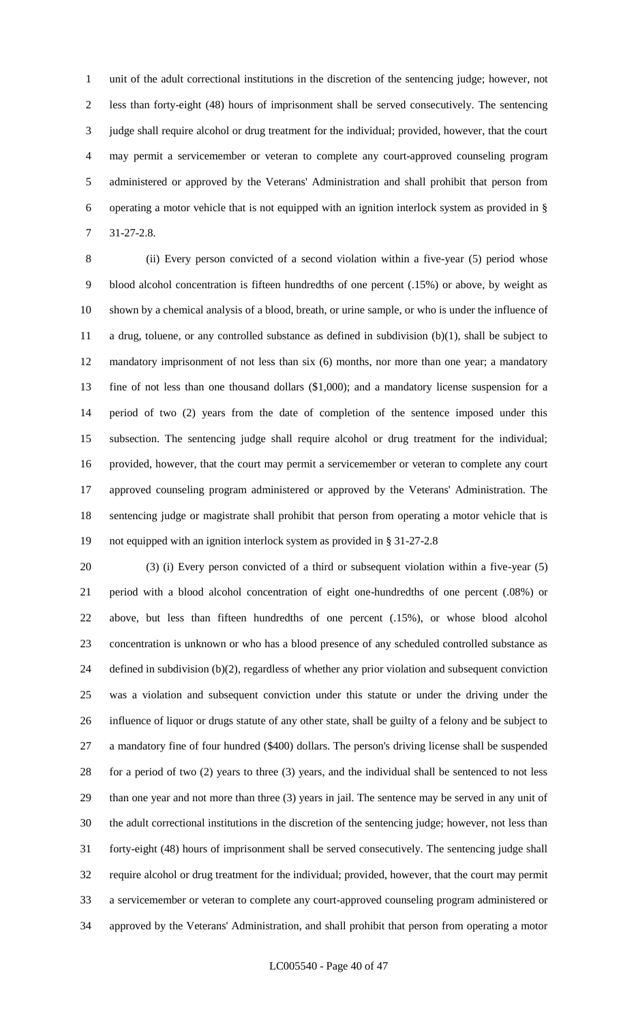unit of the adult correctional institutions in the discretion of the sentencing judge; however, not less than forty-eight (48) hours of imprisonment shall be served consecutively. The sentencing judge shall require alcohol or drug treatment for the individual; provided, however, that the court may permit a servicemember or veteran to complete any court-approved counseling program administered or approved by the Veterans' Administration and shall prohibit that person from operating a motor vehicle that is not equipped with an ignition interlock system as provided in § 31-27-2.8.

 (ii) Every person convicted of a second violation within a five-year (5) period whose blood alcohol concentration is fifteen hundredths of one percent (.15%) or above, by weight as shown by a chemical analysis of a blood, breath, or urine sample, or who is under the influence of a drug, toluene, or any controlled substance as defined in subdivision (b)(1), shall be subject to mandatory imprisonment of not less than six (6) months, nor more than one year; a mandatory fine of not less than one thousand dollars (\$1,000); and a mandatory license suspension for a period of two (2) years from the date of completion of the sentence imposed under this subsection. The sentencing judge shall require alcohol or drug treatment for the individual; provided, however, that the court may permit a servicemember or veteran to complete any court approved counseling program administered or approved by the Veterans' Administration. The sentencing judge or magistrate shall prohibit that person from operating a motor vehicle that is not equipped with an ignition interlock system as provided in § 31-27-2.8

 (3) (i) Every person convicted of a third or subsequent violation within a five-year (5) period with a blood alcohol concentration of eight one-hundredths of one percent (.08%) or above, but less than fifteen hundredths of one percent (.15%), or whose blood alcohol concentration is unknown or who has a blood presence of any scheduled controlled substance as defined in subdivision (b)(2), regardless of whether any prior violation and subsequent conviction was a violation and subsequent conviction under this statute or under the driving under the influence of liquor or drugs statute of any other state, shall be guilty of a felony and be subject to a mandatory fine of four hundred (\$400) dollars. The person's driving license shall be suspended for a period of two (2) years to three (3) years, and the individual shall be sentenced to not less than one year and not more than three (3) years in jail. The sentence may be served in any unit of the adult correctional institutions in the discretion of the sentencing judge; however, not less than forty-eight (48) hours of imprisonment shall be served consecutively. The sentencing judge shall require alcohol or drug treatment for the individual; provided, however, that the court may permit a servicemember or veteran to complete any court-approved counseling program administered or approved by the Veterans' Administration, and shall prohibit that person from operating a motor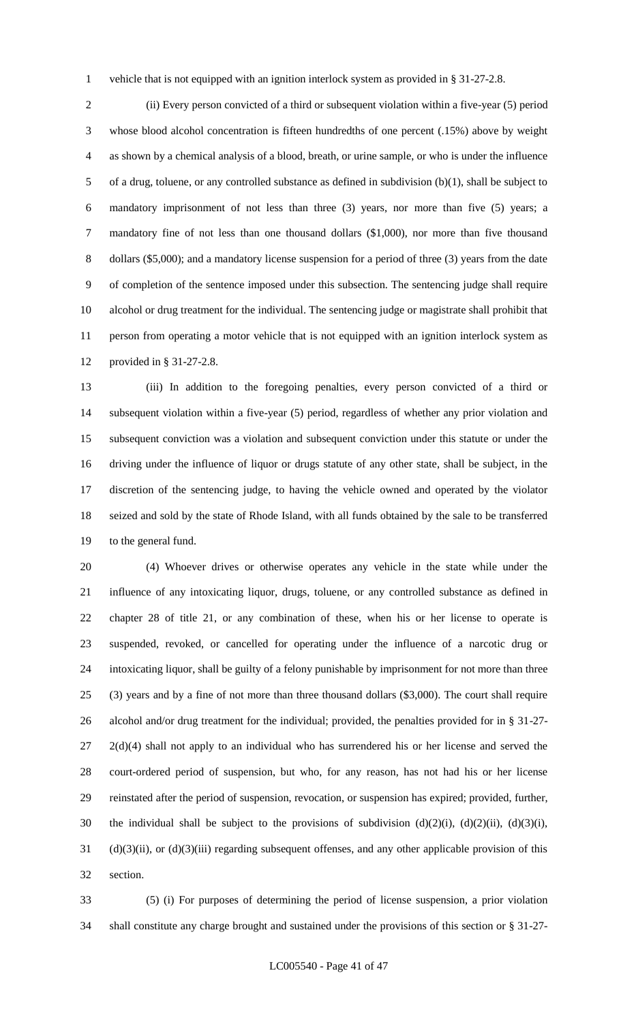vehicle that is not equipped with an ignition interlock system as provided in § 31-27-2.8.

 (ii) Every person convicted of a third or subsequent violation within a five-year (5) period whose blood alcohol concentration is fifteen hundredths of one percent (.15%) above by weight as shown by a chemical analysis of a blood, breath, or urine sample, or who is under the influence of a drug, toluene, or any controlled substance as defined in subdivision (b)(1), shall be subject to mandatory imprisonment of not less than three (3) years, nor more than five (5) years; a mandatory fine of not less than one thousand dollars (\$1,000), nor more than five thousand dollars (\$5,000); and a mandatory license suspension for a period of three (3) years from the date of completion of the sentence imposed under this subsection. The sentencing judge shall require alcohol or drug treatment for the individual. The sentencing judge or magistrate shall prohibit that person from operating a motor vehicle that is not equipped with an ignition interlock system as provided in § 31-27-2.8.

 (iii) In addition to the foregoing penalties, every person convicted of a third or subsequent violation within a five-year (5) period, regardless of whether any prior violation and subsequent conviction was a violation and subsequent conviction under this statute or under the driving under the influence of liquor or drugs statute of any other state, shall be subject, in the discretion of the sentencing judge, to having the vehicle owned and operated by the violator seized and sold by the state of Rhode Island, with all funds obtained by the sale to be transferred to the general fund.

 (4) Whoever drives or otherwise operates any vehicle in the state while under the influence of any intoxicating liquor, drugs, toluene, or any controlled substance as defined in chapter 28 of title 21, or any combination of these, when his or her license to operate is suspended, revoked, or cancelled for operating under the influence of a narcotic drug or intoxicating liquor, shall be guilty of a felony punishable by imprisonment for not more than three (3) years and by a fine of not more than three thousand dollars (\$3,000). The court shall require alcohol and/or drug treatment for the individual; provided, the penalties provided for in § 31-27-  $27 \quad 2(d)(4)$  shall not apply to an individual who has surrendered his or her license and served the court-ordered period of suspension, but who, for any reason, has not had his or her license reinstated after the period of suspension, revocation, or suspension has expired; provided, further, the individual shall be subject to the provisions of subdivision (d)(2)(i), (d)(2)(ii), (d)(3)(i), (d)(3)(ii), or (d)(3)(iii) regarding subsequent offenses, and any other applicable provision of this section.

 (5) (i) For purposes of determining the period of license suspension, a prior violation shall constitute any charge brought and sustained under the provisions of this section or § 31-27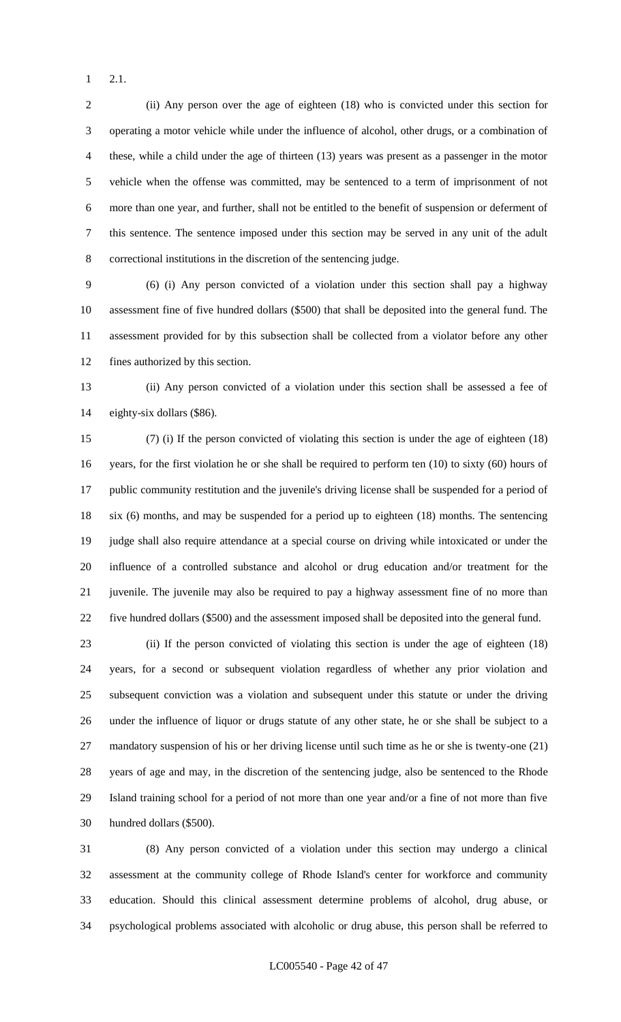2.1.

 (ii) Any person over the age of eighteen (18) who is convicted under this section for operating a motor vehicle while under the influence of alcohol, other drugs, or a combination of these, while a child under the age of thirteen (13) years was present as a passenger in the motor vehicle when the offense was committed, may be sentenced to a term of imprisonment of not more than one year, and further, shall not be entitled to the benefit of suspension or deferment of this sentence. The sentence imposed under this section may be served in any unit of the adult correctional institutions in the discretion of the sentencing judge.

 (6) (i) Any person convicted of a violation under this section shall pay a highway assessment fine of five hundred dollars (\$500) that shall be deposited into the general fund. The assessment provided for by this subsection shall be collected from a violator before any other fines authorized by this section.

 (ii) Any person convicted of a violation under this section shall be assessed a fee of eighty-six dollars (\$86).

 (7) (i) If the person convicted of violating this section is under the age of eighteen (18) years, for the first violation he or she shall be required to perform ten (10) to sixty (60) hours of public community restitution and the juvenile's driving license shall be suspended for a period of six (6) months, and may be suspended for a period up to eighteen (18) months. The sentencing judge shall also require attendance at a special course on driving while intoxicated or under the influence of a controlled substance and alcohol or drug education and/or treatment for the juvenile. The juvenile may also be required to pay a highway assessment fine of no more than five hundred dollars (\$500) and the assessment imposed shall be deposited into the general fund.

 (ii) If the person convicted of violating this section is under the age of eighteen (18) years, for a second or subsequent violation regardless of whether any prior violation and subsequent conviction was a violation and subsequent under this statute or under the driving under the influence of liquor or drugs statute of any other state, he or she shall be subject to a mandatory suspension of his or her driving license until such time as he or she is twenty-one (21) years of age and may, in the discretion of the sentencing judge, also be sentenced to the Rhode Island training school for a period of not more than one year and/or a fine of not more than five hundred dollars (\$500).

 (8) Any person convicted of a violation under this section may undergo a clinical assessment at the community college of Rhode Island's center for workforce and community education. Should this clinical assessment determine problems of alcohol, drug abuse, or psychological problems associated with alcoholic or drug abuse, this person shall be referred to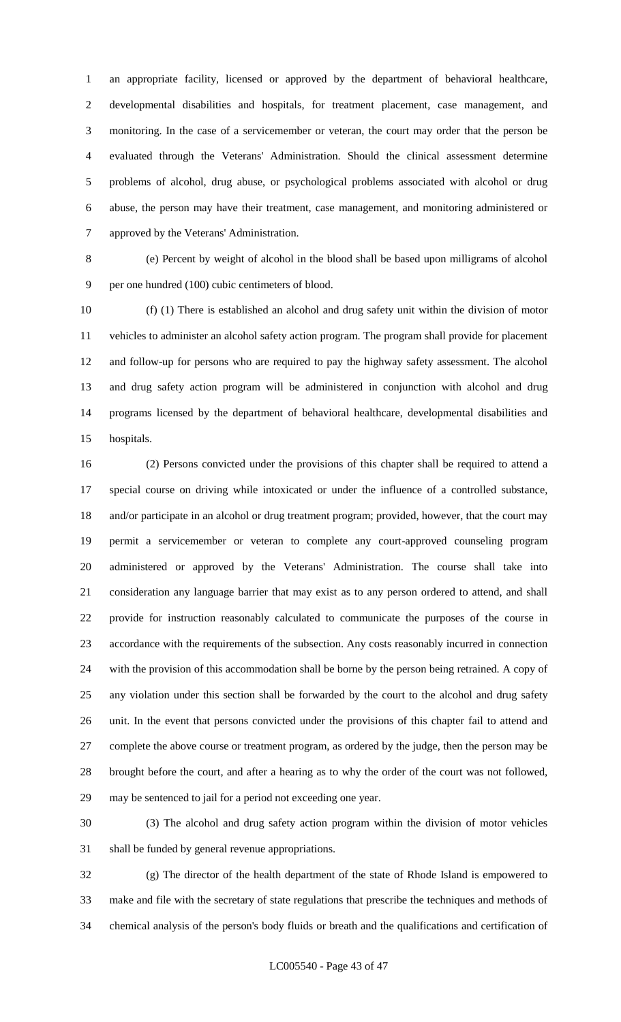an appropriate facility, licensed or approved by the department of behavioral healthcare, developmental disabilities and hospitals, for treatment placement, case management, and monitoring. In the case of a servicemember or veteran, the court may order that the person be evaluated through the Veterans' Administration. Should the clinical assessment determine problems of alcohol, drug abuse, or psychological problems associated with alcohol or drug abuse, the person may have their treatment, case management, and monitoring administered or approved by the Veterans' Administration.

 (e) Percent by weight of alcohol in the blood shall be based upon milligrams of alcohol per one hundred (100) cubic centimeters of blood.

 (f) (1) There is established an alcohol and drug safety unit within the division of motor vehicles to administer an alcohol safety action program. The program shall provide for placement and follow-up for persons who are required to pay the highway safety assessment. The alcohol and drug safety action program will be administered in conjunction with alcohol and drug programs licensed by the department of behavioral healthcare, developmental disabilities and hospitals.

 (2) Persons convicted under the provisions of this chapter shall be required to attend a special course on driving while intoxicated or under the influence of a controlled substance, and/or participate in an alcohol or drug treatment program; provided, however, that the court may permit a servicemember or veteran to complete any court-approved counseling program administered or approved by the Veterans' Administration. The course shall take into consideration any language barrier that may exist as to any person ordered to attend, and shall provide for instruction reasonably calculated to communicate the purposes of the course in accordance with the requirements of the subsection. Any costs reasonably incurred in connection with the provision of this accommodation shall be borne by the person being retrained. A copy of any violation under this section shall be forwarded by the court to the alcohol and drug safety unit. In the event that persons convicted under the provisions of this chapter fail to attend and complete the above course or treatment program, as ordered by the judge, then the person may be brought before the court, and after a hearing as to why the order of the court was not followed, may be sentenced to jail for a period not exceeding one year.

 (3) The alcohol and drug safety action program within the division of motor vehicles shall be funded by general revenue appropriations.

 (g) The director of the health department of the state of Rhode Island is empowered to make and file with the secretary of state regulations that prescribe the techniques and methods of chemical analysis of the person's body fluids or breath and the qualifications and certification of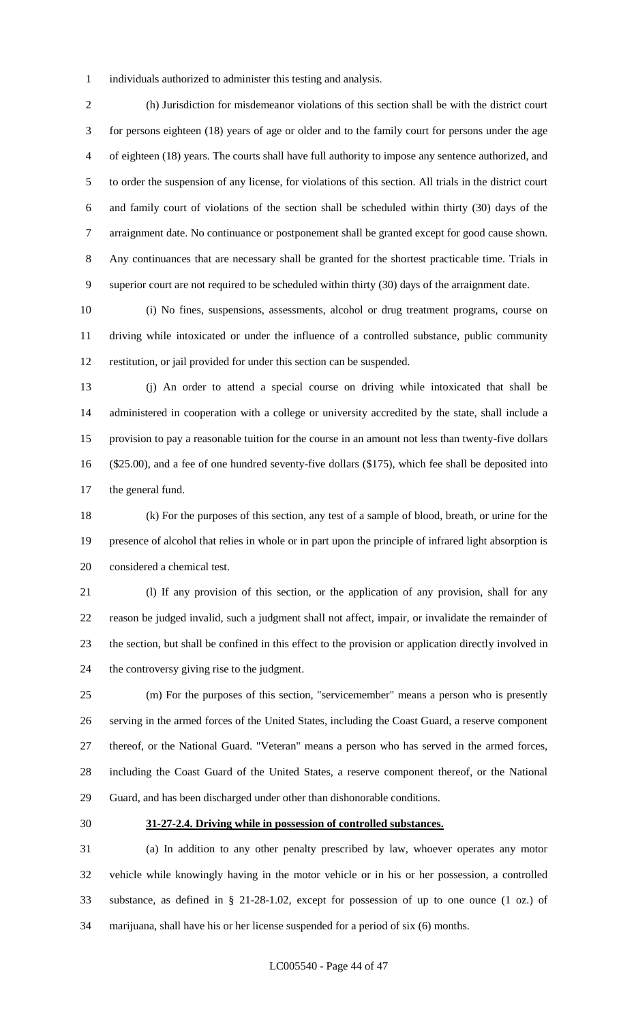individuals authorized to administer this testing and analysis.

 (h) Jurisdiction for misdemeanor violations of this section shall be with the district court for persons eighteen (18) years of age or older and to the family court for persons under the age of eighteen (18) years. The courts shall have full authority to impose any sentence authorized, and to order the suspension of any license, for violations of this section. All trials in the district court and family court of violations of the section shall be scheduled within thirty (30) days of the arraignment date. No continuance or postponement shall be granted except for good cause shown. Any continuances that are necessary shall be granted for the shortest practicable time. Trials in superior court are not required to be scheduled within thirty (30) days of the arraignment date.

 (i) No fines, suspensions, assessments, alcohol or drug treatment programs, course on driving while intoxicated or under the influence of a controlled substance, public community restitution, or jail provided for under this section can be suspended.

 (j) An order to attend a special course on driving while intoxicated that shall be administered in cooperation with a college or university accredited by the state, shall include a provision to pay a reasonable tuition for the course in an amount not less than twenty-five dollars (\$25.00), and a fee of one hundred seventy-five dollars (\$175), which fee shall be deposited into the general fund.

 (k) For the purposes of this section, any test of a sample of blood, breath, or urine for the presence of alcohol that relies in whole or in part upon the principle of infrared light absorption is considered a chemical test.

 (l) If any provision of this section, or the application of any provision, shall for any reason be judged invalid, such a judgment shall not affect, impair, or invalidate the remainder of the section, but shall be confined in this effect to the provision or application directly involved in the controversy giving rise to the judgment.

 (m) For the purposes of this section, "servicemember" means a person who is presently serving in the armed forces of the United States, including the Coast Guard, a reserve component thereof, or the National Guard. "Veteran" means a person who has served in the armed forces, including the Coast Guard of the United States, a reserve component thereof, or the National Guard, and has been discharged under other than dishonorable conditions.

### **31-27-2.4. Driving while in possession of controlled substances.**

 (a) In addition to any other penalty prescribed by law, whoever operates any motor vehicle while knowingly having in the motor vehicle or in his or her possession, a controlled substance, as defined in § 21-28-1.02, except for possession of up to one ounce (1 oz.) of marijuana, shall have his or her license suspended for a period of six (6) months.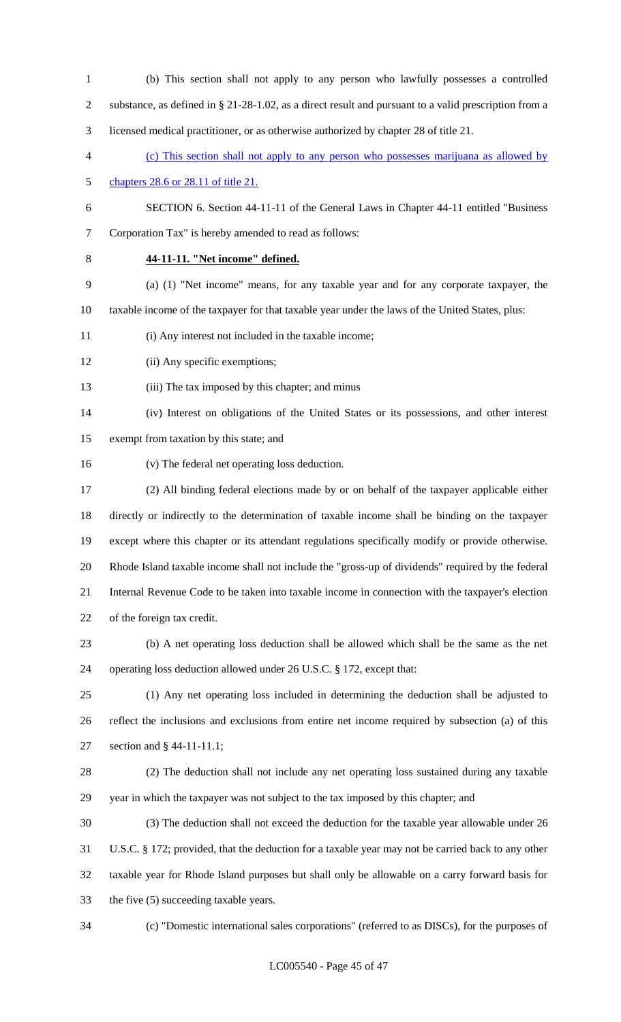- (b) This section shall not apply to any person who lawfully possesses a controlled substance, as defined in § 21-28-1.02, as a direct result and pursuant to a valid prescription from a licensed medical practitioner, or as otherwise authorized by chapter 28 of title 21. (c) This section shall not apply to any person who possesses marijuana as allowed by chapters 28.6 or 28.11 of title 21. SECTION 6. Section 44-11-11 of the General Laws in Chapter 44-11 entitled "Business Corporation Tax" is hereby amended to read as follows: **44-11-11. "Net income" defined.** (a) (1) "Net income" means, for any taxable year and for any corporate taxpayer, the taxable income of the taxpayer for that taxable year under the laws of the United States, plus: (i) Any interest not included in the taxable income; (ii) Any specific exemptions; (iii) The tax imposed by this chapter; and minus (iv) Interest on obligations of the United States or its possessions, and other interest exempt from taxation by this state; and (v) The federal net operating loss deduction. (2) All binding federal elections made by or on behalf of the taxpayer applicable either directly or indirectly to the determination of taxable income shall be binding on the taxpayer except where this chapter or its attendant regulations specifically modify or provide otherwise. Rhode Island taxable income shall not include the "gross-up of dividends" required by the federal Internal Revenue Code to be taken into taxable income in connection with the taxpayer's election of the foreign tax credit. (b) A net operating loss deduction shall be allowed which shall be the same as the net operating loss deduction allowed under 26 U.S.C. § 172, except that: (1) Any net operating loss included in determining the deduction shall be adjusted to reflect the inclusions and exclusions from entire net income required by subsection (a) of this section and § 44-11-11.1; (2) The deduction shall not include any net operating loss sustained during any taxable year in which the taxpayer was not subject to the tax imposed by this chapter; and (3) The deduction shall not exceed the deduction for the taxable year allowable under 26 U.S.C. § 172; provided, that the deduction for a taxable year may not be carried back to any other taxable year for Rhode Island purposes but shall only be allowable on a carry forward basis for the five (5) succeeding taxable years.
- 

(c) "Domestic international sales corporations" (referred to as DISCs), for the purposes of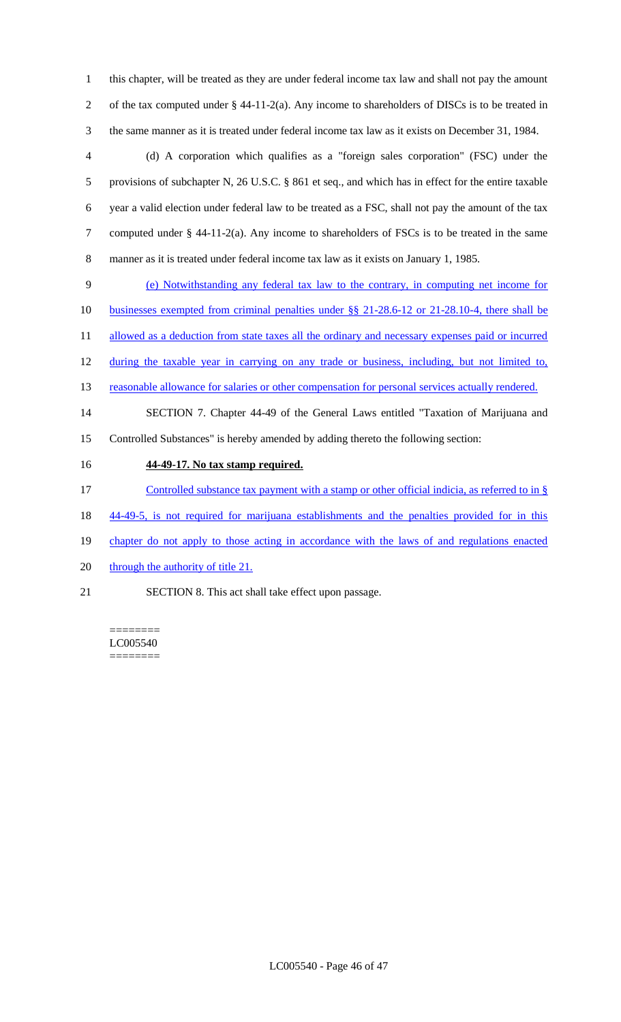1 this chapter, will be treated as they are under federal income tax law and shall not pay the amount 2 of the tax computed under § 44-11-2(a). Any income to shareholders of DISCs is to be treated in 3 the same manner as it is treated under federal income tax law as it exists on December 31, 1984.

 (d) A corporation which qualifies as a "foreign sales corporation" (FSC) under the provisions of subchapter N, 26 U.S.C. § 861 et seq., and which has in effect for the entire taxable year a valid election under federal law to be treated as a FSC, shall not pay the amount of the tax computed under § 44-11-2(a). Any income to shareholders of FSCs is to be treated in the same manner as it is treated under federal income tax law as it exists on January 1, 1985.

9 (e) Notwithstanding any federal tax law to the contrary, in computing net income for 10 businesses exempted from criminal penalties under §§ 21-28.6-12 or 21-28.10-4, there shall be

11 allowed as a deduction from state taxes all the ordinary and necessary expenses paid or incurred

12 during the taxable year in carrying on any trade or business, including, but not limited to,

13 reasonable allowance for salaries or other compensation for personal services actually rendered.

14 SECTION 7. Chapter 44-49 of the General Laws entitled "Taxation of Marijuana and 15 Controlled Substances" is hereby amended by adding thereto the following section:

16 **44-49-17. No tax stamp required.**

17 Controlled substance tax payment with a stamp or other official indicia, as referred to in §

18 44-49-5, is not required for marijuana establishments and the penalties provided for in this

- 19 chapter do not apply to those acting in accordance with the laws of and regulations enacted
- 20 through the authority of title 21.

21 SECTION 8. This act shall take effect upon passage.

======== LC005540 ========